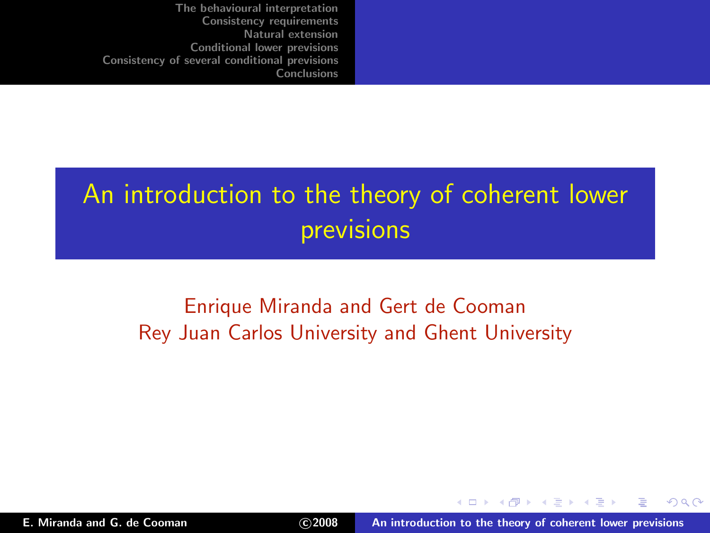# An introduction to the theory of coherent lower previsions

### Enrique Miranda and Gert de Cooman Rey Juan Carlos University and Ghent University

<span id="page-0-0"></span> $290$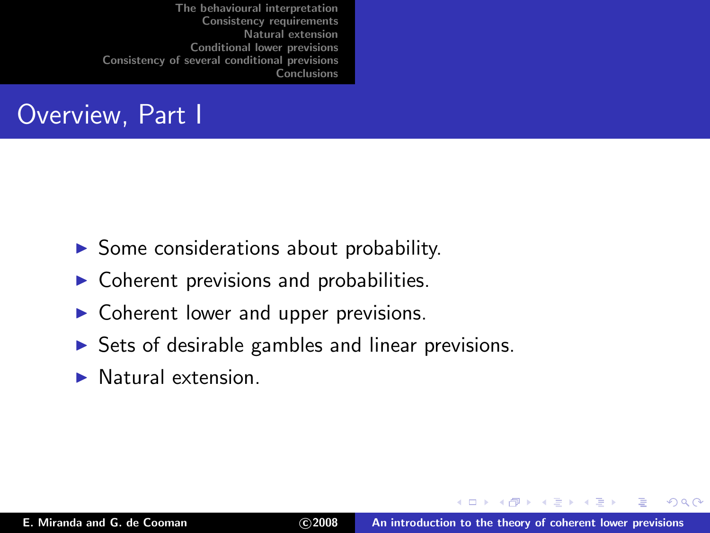## Overview, Part I

- $\triangleright$  Some considerations about probability.
- Coherent previsions and probabilities.
- $\triangleright$  Coherent lower and upper previsions.
- $\triangleright$  Sets of desirable gambles and linear previsions.
- $\blacktriangleright$  Natural extension.

**ALCOHOL:** 

 $4.17 \times$ 

 $2Q$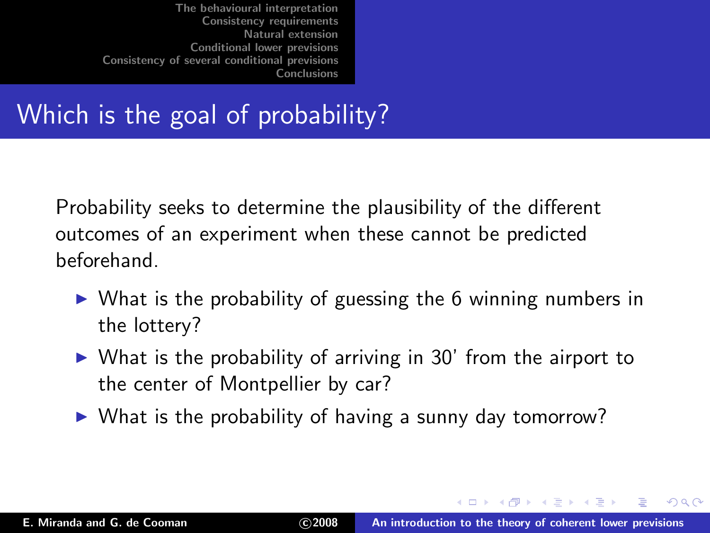# Which is the goal of probability?

Probability seeks to determine the plausibility of the different outcomes of an experiment when these cannot be predicted beforehand.

- $\triangleright$  What is the probability of guessing the 6 winning numbers in the lottery?
- $\triangleright$  What is the probability of arriving in 30' from the airport to the center of Montpellier by car?
- ▶ What is the probability of having a sunny day tomorrow?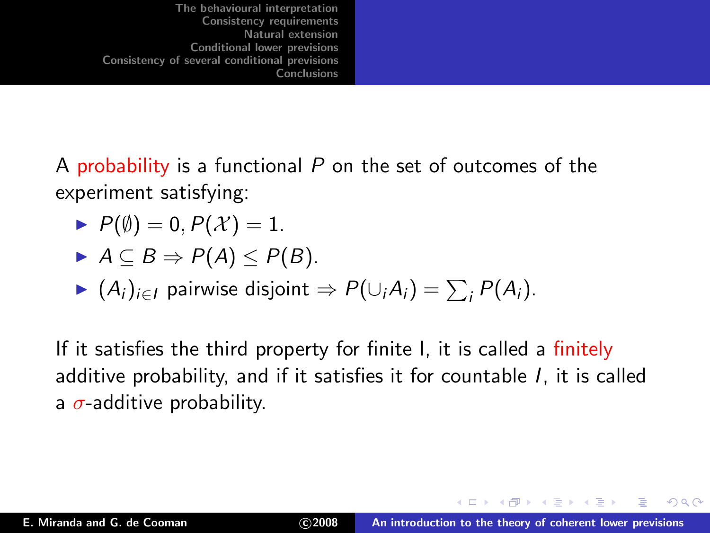A probability is a functional  $P$  on the set of outcomes of the experiment satisfying:

$$
\blacktriangleright P(\emptyset) = 0, P(\mathcal{X}) = 1.
$$

$$
\blacktriangleright A \subseteq B \Rightarrow P(A) \leq P(B).
$$

• 
$$
(A_i)_{i \in I}
$$
 pairwise disjoint  $\Rightarrow P(\cup_i A_i) = \sum_i P(A_i)$ .

If it satisfies the third property for finite I, it is called a finitely additive probability, and if it satisfies it for countable I, it is called a  $\sigma$ -additive probability.

- イター・イミー・イミ

 $4.17 \times$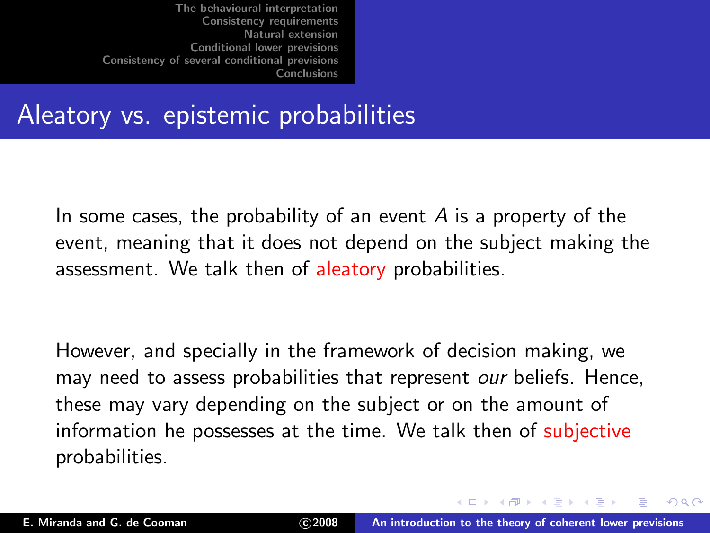## Aleatory vs. epistemic probabilities

In some cases, the probability of an event  $\overline{A}$  is a property of the event, meaning that it does not depend on the subject making the assessment. We talk then of aleatory probabilities.

However, and specially in the framework of decision making, we may need to assess probabilities that represent our beliefs. Hence, these may vary depending on the subject or on the amount of information he possesses at the time. We talk then of subjective probabilities.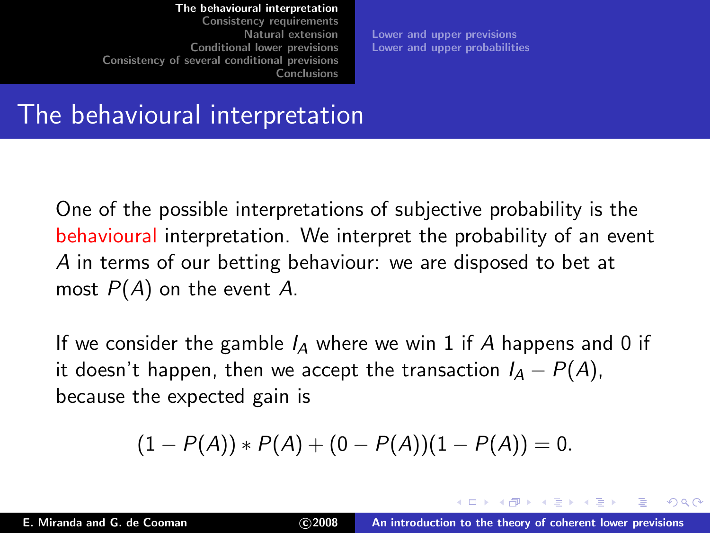[Consistency requirements](#page-21-0) [Natural extension](#page-41-0) [Conditional lower previsions](#page-52-0) [Consistency of several conditional previsions](#page-83-0) **[Conclusions](#page-101-0)** 

[Lower and upper previsions](#page-11-0) [Lower and upper probabilities](#page-16-0)

### The behavioural interpretation

One of the possible interpretations of subjective probability is the behavioural interpretation. We interpret the probability of an event A in terms of our betting behaviour: we are disposed to bet at most  $P(A)$  on the event A.

If we consider the gamble  $I_A$  where we win 1 if A happens and 0 if it doesn't happen, then we accept the transaction  $I_A - P(A)$ , because the expected gain is

<span id="page-5-0"></span>
$$
(1 - P(A)) * P(A) + (0 - P(A))(1 - P(A)) = 0.
$$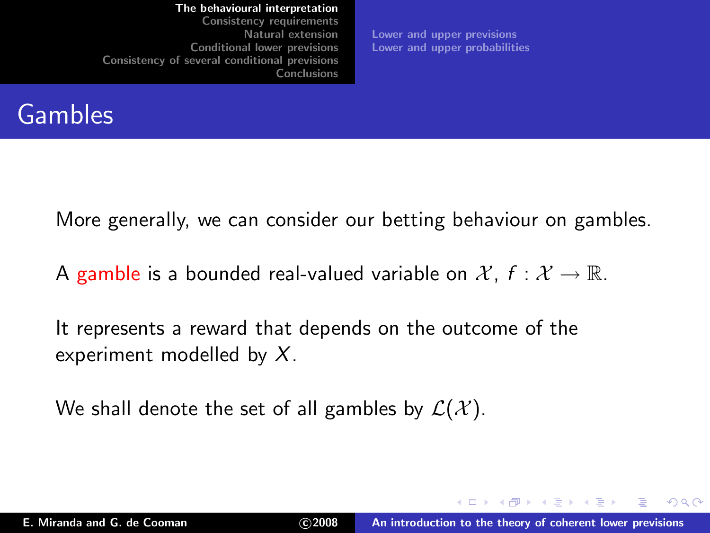[Consistency requirements](#page-21-0) [Natural extension](#page-41-0) [Conditional lower previsions](#page-52-0) [Consistency of several conditional previsions](#page-83-0) [Conclusions](#page-101-0)

[Lower and upper previsions](#page-11-0) [Lower and upper probabilities](#page-16-0)

### **Gambles**

More generally, we can consider our betting behaviour on gambles.

A gamble is a bounded real-valued variable on  $\mathcal{X}$ ,  $f : \mathcal{X} \to \mathbb{R}$ .

It represents a reward that depends on the outcome of the experiment modelled by  $X$ .

We shall denote the set of all gambles by  $\mathcal{L}(\mathcal{X})$ .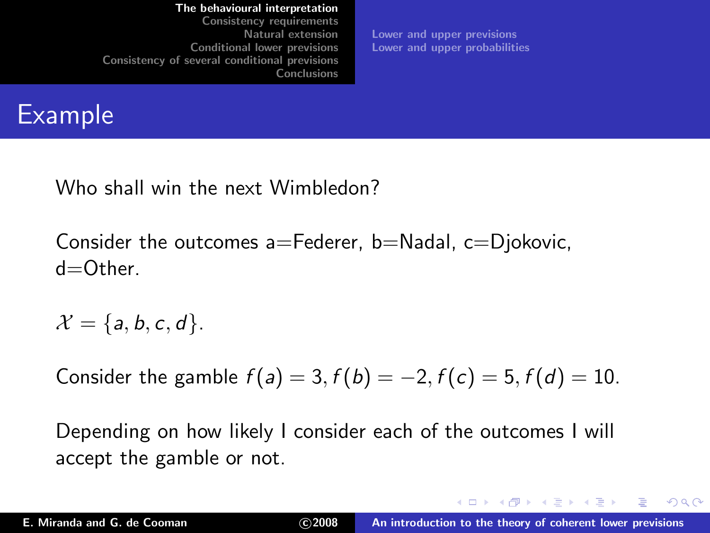[Consistency requirements](#page-21-0) [Natural extension](#page-41-0) [Conditional lower previsions](#page-52-0) [Consistency of several conditional previsions](#page-83-0) [Conclusions](#page-101-0)

[Lower and upper previsions](#page-11-0) [Lower and upper probabilities](#page-16-0)

## Example

Who shall win the next Wimbledon?

Consider the outcomes  $a =$ Federer, b $=$ Nadal, c $=$ Djokovic,  $d$ = $O$ ther.

 $\mathcal{X} = \{a, b, c, d\}.$ 

Consider the gamble  $f(a) = 3, f(b) = -2, f(c) = 5, f(d) = 10$ .

Depending on how likely I consider each of the outcomes I will accept the gamble or not.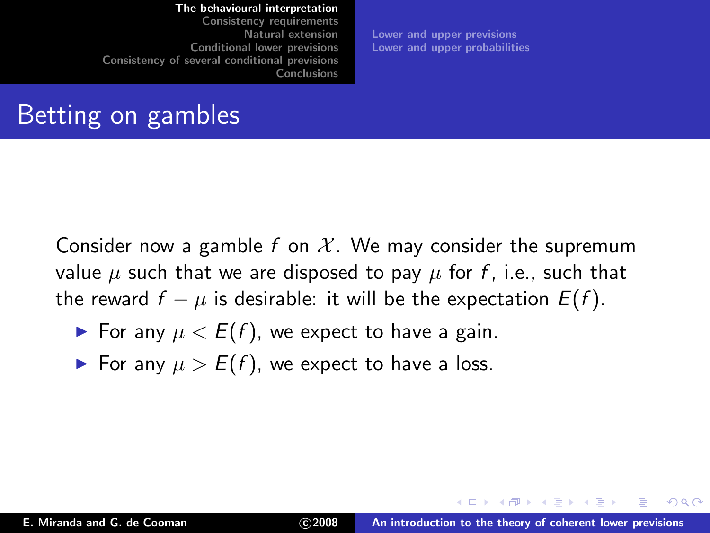[Consistency requirements](#page-21-0) [Natural extension](#page-41-0) [Conditional lower previsions](#page-52-0) [Consistency of several conditional previsions](#page-83-0) [Conclusions](#page-101-0)

[Lower and upper previsions](#page-11-0) [Lower and upper probabilities](#page-16-0)

## Betting on gambles

Consider now a gamble f on  $\mathcal{X}$ . We may consider the supremum value  $\mu$  such that we are disposed to pay  $\mu$  for f, i.e., such that the reward  $f - \mu$  is desirable: it will be the expectation  $E(f)$ .

- $\blacktriangleright$  For any  $\mu < E(f)$ , we expect to have a gain.
- ► For any  $\mu > E(f)$ , we expect to have a loss.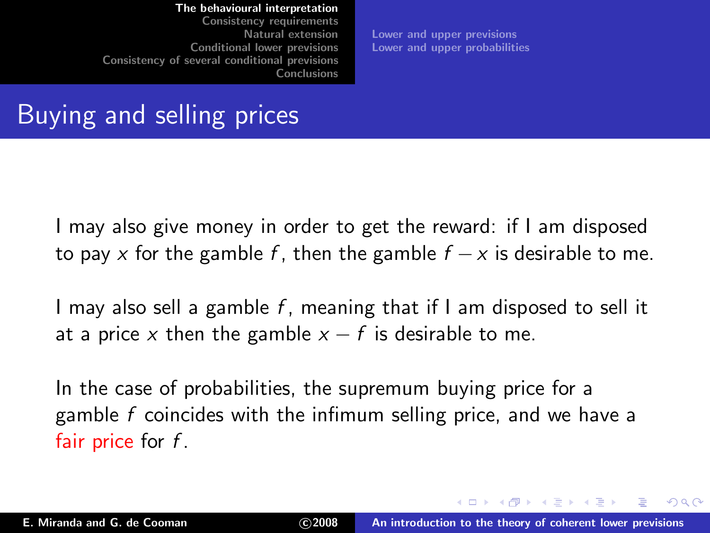[Consistency requirements](#page-21-0) [Natural extension](#page-41-0) [Conditional lower previsions](#page-52-0) [Consistency of several conditional previsions](#page-83-0) [Conclusions](#page-101-0)

[Lower and upper previsions](#page-11-0) [Lower and upper probabilities](#page-16-0)

### Buying and selling prices

I may also give money in order to get the reward: if I am disposed to pay x for the gamble f, then the gamble  $f - x$  is desirable to me.

I may also sell a gamble  $f$ , meaning that if I am disposed to sell it at a price x then the gamble  $x - f$  is desirable to me.

In the case of probabilities, the supremum buying price for a gamble  $f$  coincides with the infimum selling price, and we have a fair price for  $f$ .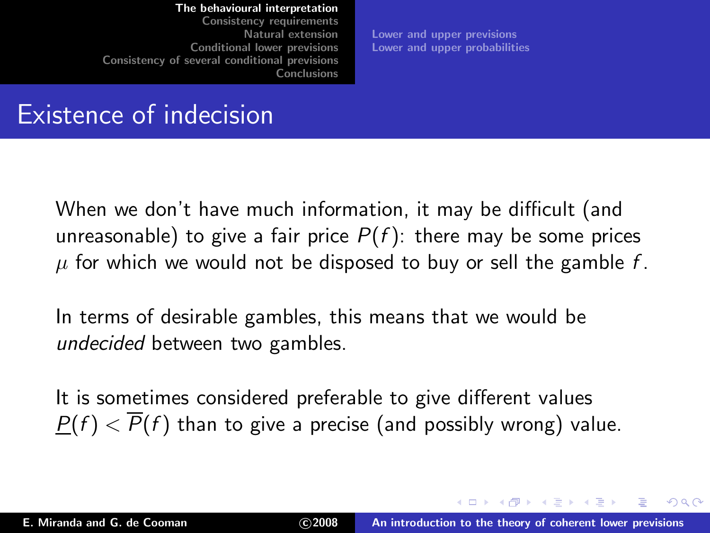[Consistency requirements](#page-21-0) [Natural extension](#page-41-0) [Conditional lower previsions](#page-52-0) [Consistency of several conditional previsions](#page-83-0) [Conclusions](#page-101-0)

[Lower and upper previsions](#page-11-0) [Lower and upper probabilities](#page-16-0)

### Existence of indecision

When we don't have much information, it may be difficult (and unreasonable) to give a fair price  $P(f)$ : there may be some prices  $\mu$  for which we would not be disposed to buy or sell the gamble f.

In terms of desirable gambles, this means that we would be undecided between two gambles.

It is sometimes considered preferable to give different values  $P(f) < \overline{P}(f)$  than to give a precise (and possibly wrong) value.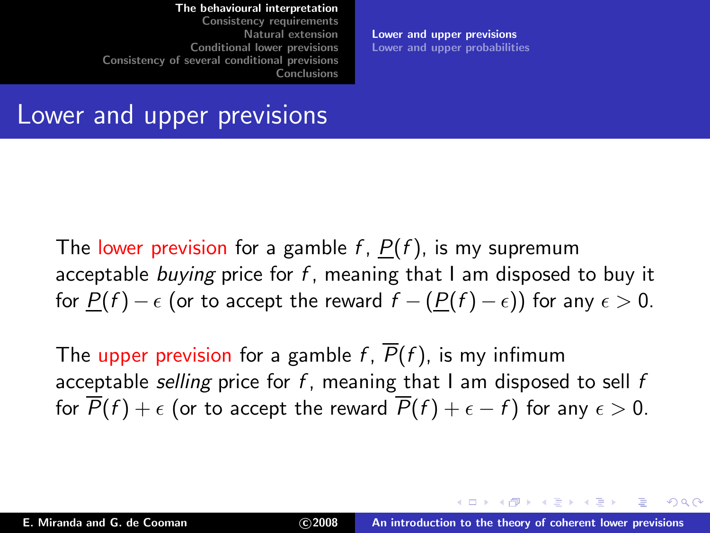[Consistency requirements](#page-21-0) [Natural extension](#page-41-0) [Conditional lower previsions](#page-52-0) [Consistency of several conditional previsions](#page-83-0) [Conclusions](#page-101-0)

<span id="page-11-0"></span>[Lower and upper previsions](#page-11-0) [Lower and upper probabilities](#page-16-0)

### Lower and upper previsions

The lower prevision for a gamble  $f$ ,  $P(f)$ , is my supremum acceptable buying price for f, meaning that I am disposed to buy it for  $P(f) - \epsilon$  (or to accept the reward  $f - (P(f) - \epsilon)$ ) for any  $\epsilon > 0$ .

The upper prevision for a gamble f,  $\overline{P}(f)$ , is my infimum acceptable selling price for  $f$ , meaning that I am disposed to sell  $f$ for  $\overline{P}(f) + \epsilon$  (or to accept the reward  $\overline{P}(f) + \epsilon - f$ ) for any  $\epsilon > 0$ .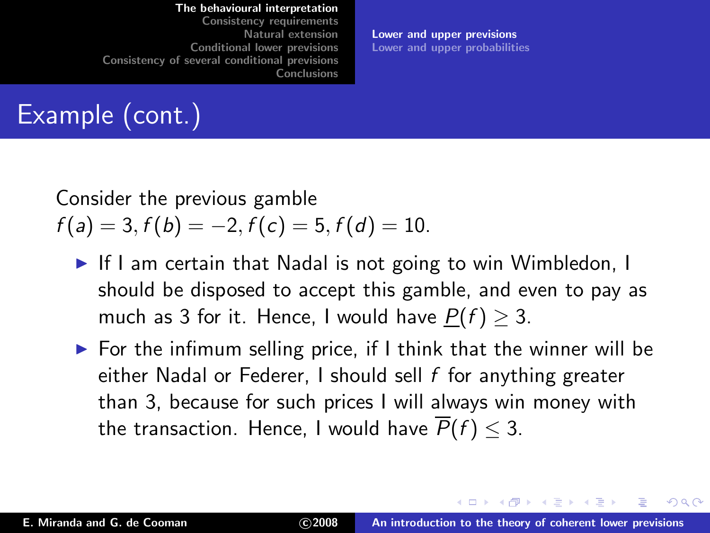[Consistency requirements](#page-21-0) [Natural extension](#page-41-0) [Conditional lower previsions](#page-52-0) [Consistency of several conditional previsions](#page-83-0) [Conclusions](#page-101-0)

[Lower and upper previsions](#page-11-0) [Lower and upper probabilities](#page-16-0)

# Example (cont.)

### Consider the previous gamble  $f(a) = 3, f(b) = -2, f(c) = 5, f(d) = 10.$

- ► If I am certain that Nadal is not going to win Wimbledon, I should be disposed to accept this gamble, and even to pay as much as 3 for it. Hence, I would have  $P(f) > 3$ .
- $\triangleright$  For the infimum selling price, if I think that the winner will be either Nadal or Federer, I should sell  $f$  for anything greater than 3, because for such prices I will always win money with the transaction. Hence, I would have  $\overline{P}(f) \leq 3$ .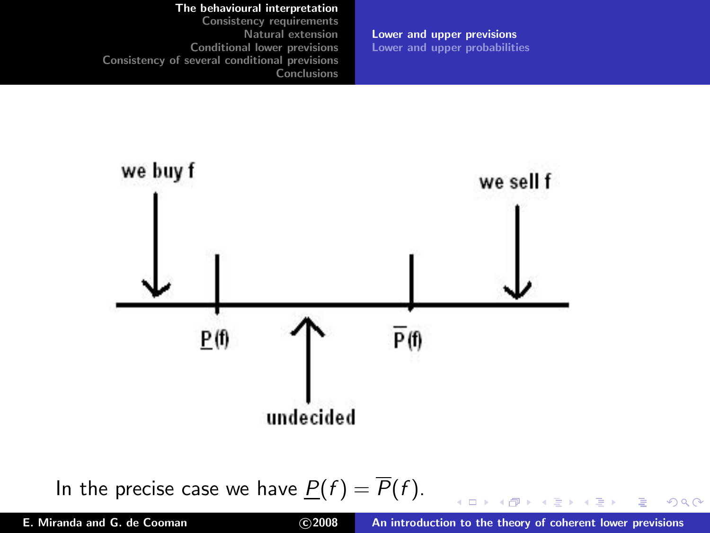[Consistency requirements](#page-21-0) [Natural extension](#page-41-0) [Conditional lower previsions](#page-52-0) [Consistency of several conditional previsions](#page-83-0) [Conclusions](#page-101-0)

[Lower and upper previsions](#page-11-0) [Lower and upper probabilities](#page-16-0)



In the precise case we have  $P(f) = \overline{P}(f)$ .

E

 $2Q$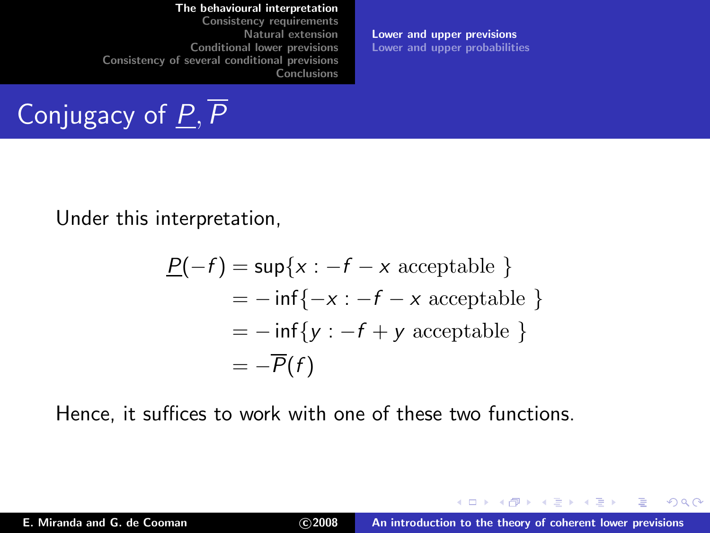[Consistency requirements](#page-21-0) [Natural extension](#page-41-0) [Conditional lower previsions](#page-52-0) [Consistency of several conditional previsions](#page-83-0) [Conclusions](#page-101-0)

Conjugacy of  $P, \overline{P}$ 

[Lower and upper previsions](#page-11-0) [Lower and upper probabilities](#page-16-0)

Under this interpretation,

$$
\underline{P}(-f) = \sup\{x : -f - x \text{ acceptable }\}
$$
  
=  $-\inf\{-x : -f - x \text{ acceptable }\}$   
=  $-\inf\{y : -f + y \text{ acceptable }\}$   
=  $-\overline{P}(f)$ 

Hence, it suffices to work with one of these two functions.

 $2Q$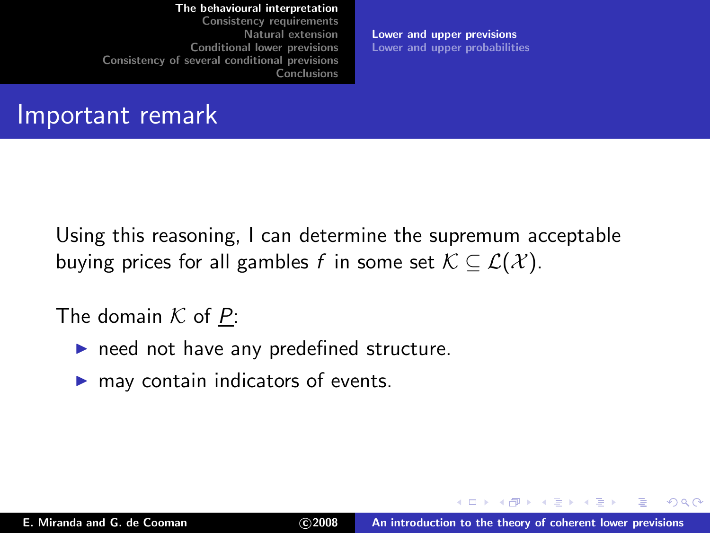[Consistency requirements](#page-21-0) [Natural extension](#page-41-0) [Conditional lower previsions](#page-52-0) [Consistency of several conditional previsions](#page-83-0) [Conclusions](#page-101-0)

[Lower and upper previsions](#page-11-0) [Lower and upper probabilities](#page-16-0)

### Important remark

Using this reasoning, I can determine the supremum acceptable buying prices for all gambles f in some set  $\mathcal{K} \subseteq \mathcal{L}(\mathcal{X})$ .

### The domain  $K$  of  $P$ :

- $\blacktriangleright$  need not have any predefined structure.
- $\blacktriangleright$  may contain indicators of events.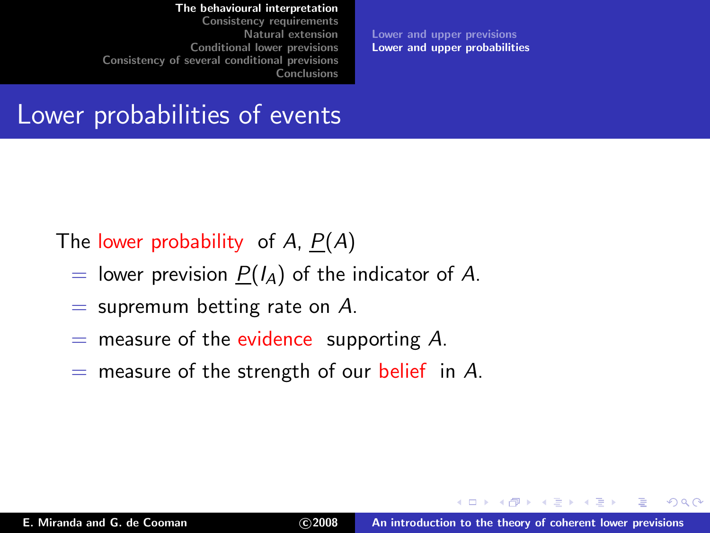[Consistency requirements](#page-21-0) [Natural extension](#page-41-0) [Conditional lower previsions](#page-52-0) [Consistency of several conditional previsions](#page-83-0) [Conclusions](#page-101-0)

<span id="page-16-0"></span>[Lower and upper previsions](#page-11-0) [Lower and upper probabilities](#page-16-0)

### Lower probabilities of events

The lower probability of A,  $P(A)$ 

- = lower prevision  $P(I_A)$  of the indicator of A.
- $=$  supremum betting rate on A.
- $=$  measure of the evidence supporting A.
- $=$  measure of the strength of our belief in A.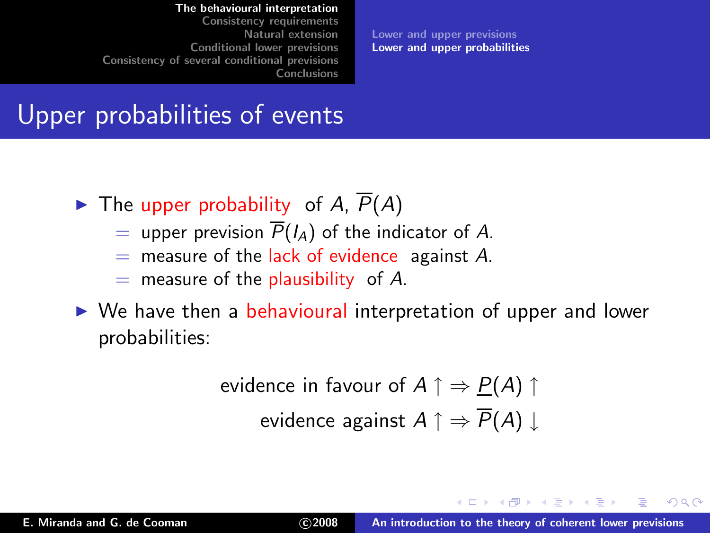[Consistency requirements](#page-21-0) [Natural extension](#page-41-0) [Conditional lower previsions](#page-52-0) [Consistency of several conditional previsions](#page-83-0) [Conclusions](#page-101-0)

[Lower and upper previsions](#page-11-0) [Lower and upper probabilities](#page-16-0)

### Upper probabilities of events

- $\blacktriangleright$  The upper probability of A,  $\overline{P}(A)$ 
	- = upper prevision  $\overline{P}(I_A)$  of the indicator of A.
	- $=$  measure of the lack of evidence against A.
	- $=$  measure of the plausibility of A.
- ► We have then a behavioural interpretation of upper and lower probabilities:

evidence in favour of 
$$
A \uparrow \Rightarrow P(A) \uparrow
$$

\nevidence against  $A \uparrow \Rightarrow \overline{P}(A) \downarrow$ 

4 m k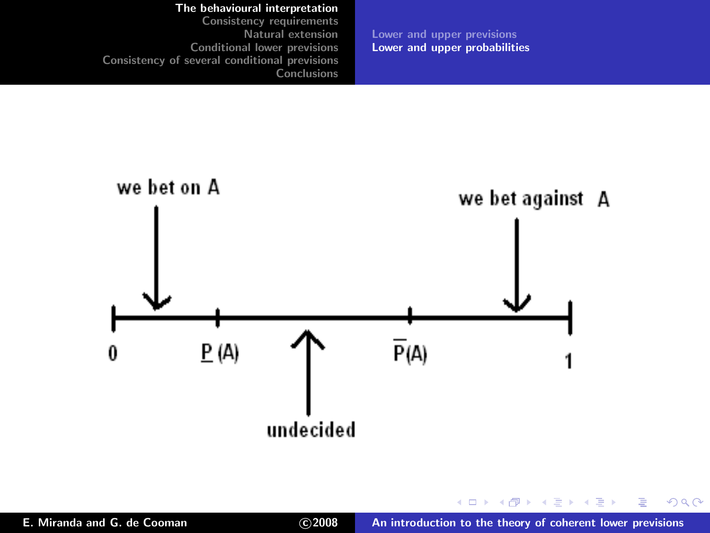[The behavioural interpretation](#page-5-0) [Consistency requirements](#page-21-0) [Natural extension](#page-41-0) [Conditional lower previsions](#page-52-0) [Consistency of several conditional previsions](#page-83-0) **[Conclusions](#page-101-0)** [Lower and upper previsions](#page-11-0) [Lower and upper probabilities](#page-16-0)



イロト イ母ト イヨト イヨト

重

 $299$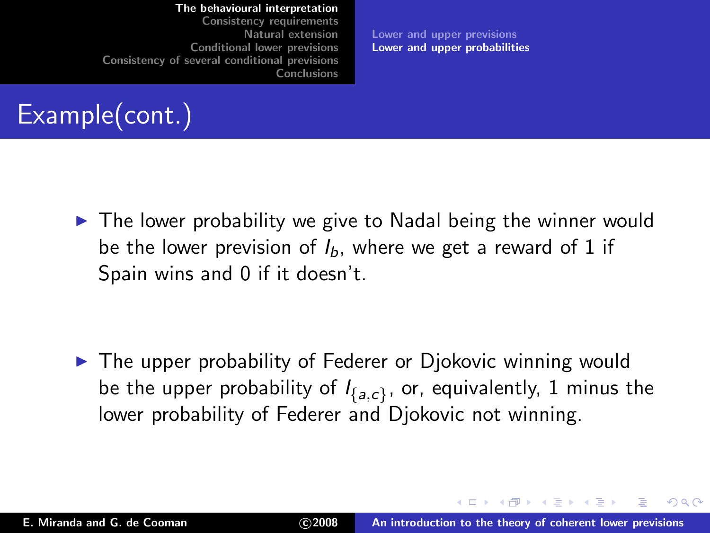[Consistency requirements](#page-21-0) [Natural extension](#page-41-0) [Conditional lower previsions](#page-52-0) [Consistency of several conditional previsions](#page-83-0) [Conclusions](#page-101-0)

[Lower and upper previsions](#page-11-0) [Lower and upper probabilities](#page-16-0)

# Example(cont.)

▶ The lower probability we give to Nadal being the winner would be the lower prevision of  $I<sub>b</sub>$ , where we get a reward of 1 if Spain wins and 0 if it doesn't.

▶ The upper probability of Federer or Djokovic winning would be the upper probability of  $I_{\{a,c\}}$ , or, equivalently,  $1$  minus the lower probability of Federer and Djokovic not winning.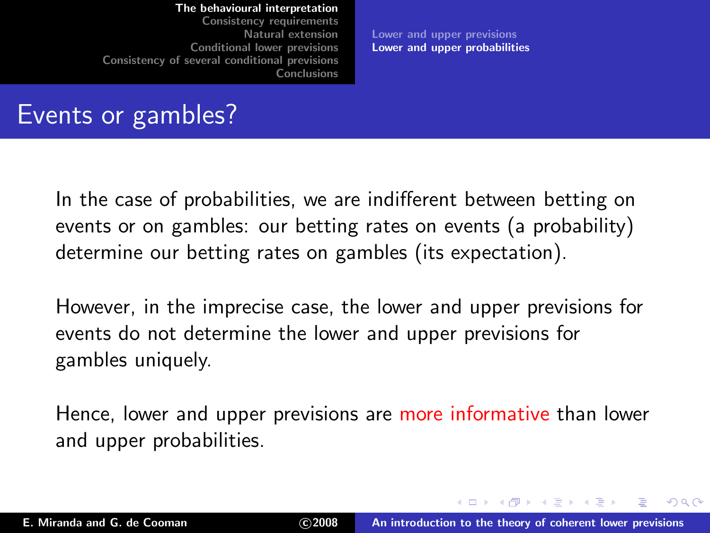[Consistency requirements](#page-21-0) [Natural extension](#page-41-0) [Conditional lower previsions](#page-52-0) [Consistency of several conditional previsions](#page-83-0) [Conclusions](#page-101-0)

<span id="page-20-0"></span>[Lower and upper previsions](#page-11-0) [Lower and upper probabilities](#page-16-0)

### Events or gambles?

In the case of probabilities, we are indifferent between betting on events or on gambles: our betting rates on events (a probability) determine our betting rates on gambles (its expectation).

However, in the imprecise case, the lower and upper previsions for events do not determine the lower and upper previsions for gambles uniquely.

Hence, lower and upper previsions are more informative than lower and upper probabilities.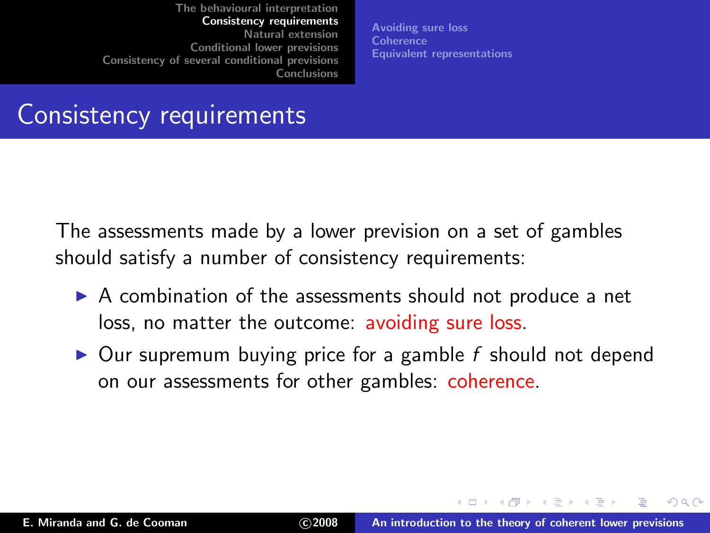<span id="page-21-0"></span>[Avoiding sure loss](#page-22-0) **[Coherence](#page-25-0)** [Equivalent representations](#page-32-0)

### Consistency requirements

The assessments made by a lower prevision on a set of gambles should satisfy a number of consistency requirements:

- ▶ A combination of the assessments should not produce a net loss, no matter the outcome: avoiding sure loss.
- $\triangleright$  Our supremum buying price for a gamble f should not depend on our assessments for other gambles: coherence.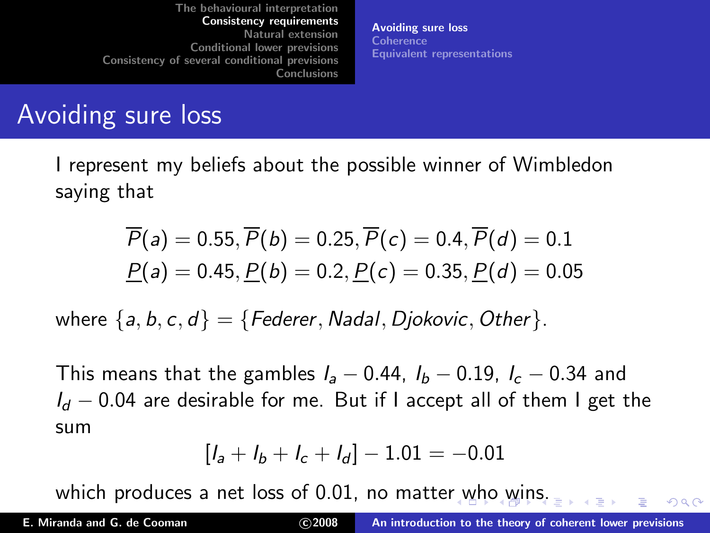[Avoiding sure loss](#page-22-0) [Coherence](#page-25-0) [Equivalent representations](#page-32-0)

### Avoiding sure loss

I represent my beliefs about the possible winner of Wimbledon saying that

$$
\overline{P}(a) = 0.55, \overline{P}(b) = 0.25, \overline{P}(c) = 0.4, \overline{P}(d) = 0.1
$$
  

$$
\underline{P}(a) = 0.45, \underline{P}(b) = 0.2, \underline{P}(c) = 0.35, \underline{P}(d) = 0.05
$$

where  $\{a, b, c, d\} = \{Federer, Nadal, Diokovic, Other\}$ .

This means that the gambles  $I_a - 0.44$ ,  $I_b - 0.19$ ,  $I_c - 0.34$  and  $I_d$  − 0.04 are desirable for me. But if I accept all of them I get the sum

<span id="page-22-0"></span>
$$
[l_a + l_b + l_c + l_d] - 1.01 = -0.01
$$

which produces a net loss of 0.01, no matte[r w](#page-21-0)[ho](#page-23-0) [wi](#page-22-0)[n](#page-23-0)[s.](#page-21-0)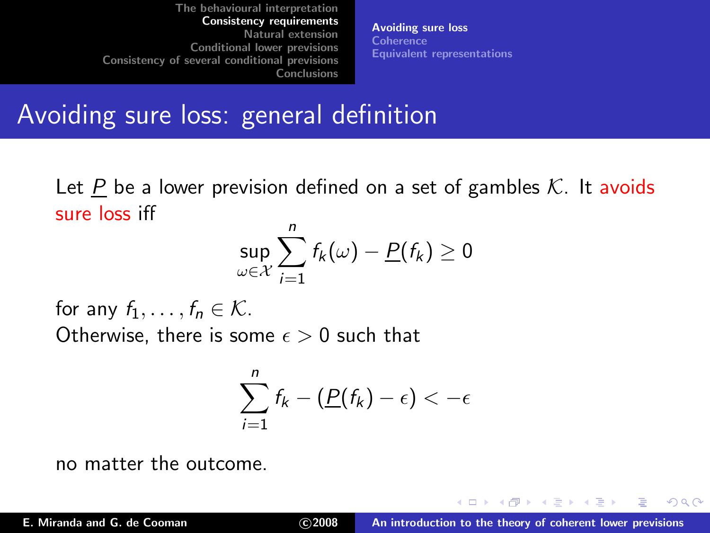[Avoiding sure loss](#page-22-0) [Coherence](#page-25-0) [Equivalent representations](#page-32-0)

### Avoiding sure loss: general definition

Let P be a lower prevision defined on a set of gambles  $K$ . It avoids sure loss iff

$$
\sup_{\omega \in \mathcal{X}} \sum_{i=1}^n f_k(\omega) - \underline{P}(f_k) \geq 0
$$

for any  $f_1, \ldots, f_n \in \mathcal{K}$ . Otherwise, there is some  $\epsilon > 0$  such that

<span id="page-23-0"></span>
$$
\sum_{i=1}^n f_k - (\underline{P}(f_k) - \epsilon) < -\epsilon
$$

no matter the outcome.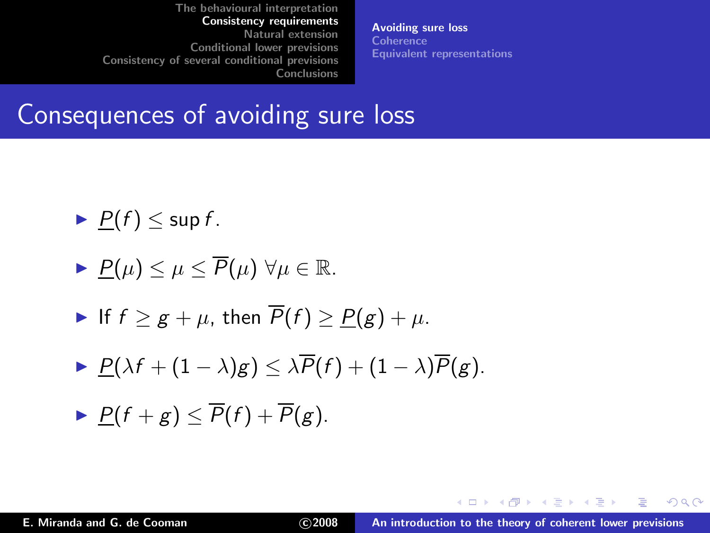[Avoiding sure loss](#page-22-0) [Coherence](#page-25-0) [Equivalent representations](#page-32-0)

### Consequences of avoiding sure loss

$$
\blacktriangleright \underline{P}(f) \leq \sup f.
$$

$$
\blacktriangleright \underline{P(\mu)} \leq \mu \leq \overline{P}(\mu) \ \forall \mu \in \mathbb{R}.
$$

• If 
$$
f \geq g + \mu
$$
, then  $\overline{P}(f) \geq \underline{P}(g) + \mu$ .

$$
\blacktriangleright \underline{P(\lambda f + (1-\lambda)g)} \leq \lambda \overline{P}(f) + (1-\lambda)\overline{P}(g).
$$

$$
\blacktriangleright \underline{P}(f+g) \leq \overline{P}(f) + \overline{P}(g).
$$

 $2Q$ 

<span id="page-24-0"></span>в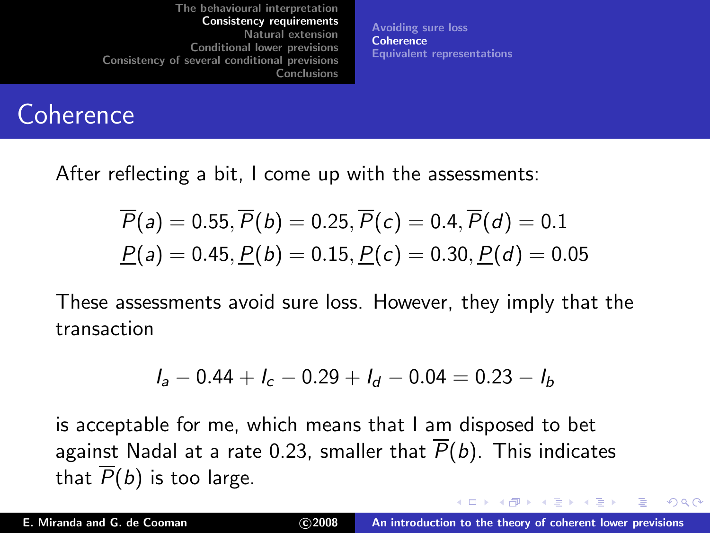[Avoiding sure loss](#page-22-0) **[Coherence](#page-25-0)** [Equivalent representations](#page-32-0)

### **Coherence**

After reflecting a bit, I come up with the assessments:

$$
\overline{P}(a) = 0.55, \overline{P}(b) = 0.25, \overline{P}(c) = 0.4, \overline{P}(d) = 0.1
$$
  

$$
\underline{P}(a) = 0.45, \underline{P}(b) = 0.15, \underline{P}(c) = 0.30, \underline{P}(d) = 0.05
$$

These assessments avoid sure loss. However, they imply that the transaction

<span id="page-25-0"></span>
$$
I_a - 0.44 + I_c - 0.29 + I_d - 0.04 = 0.23 - I_b
$$

is acceptable for me, which means that I am disposed to bet against Nadal at a rate 0.23, smaller that  $\overline{P}(b)$ . This indicates that  $\overline{P}(b)$  is too large.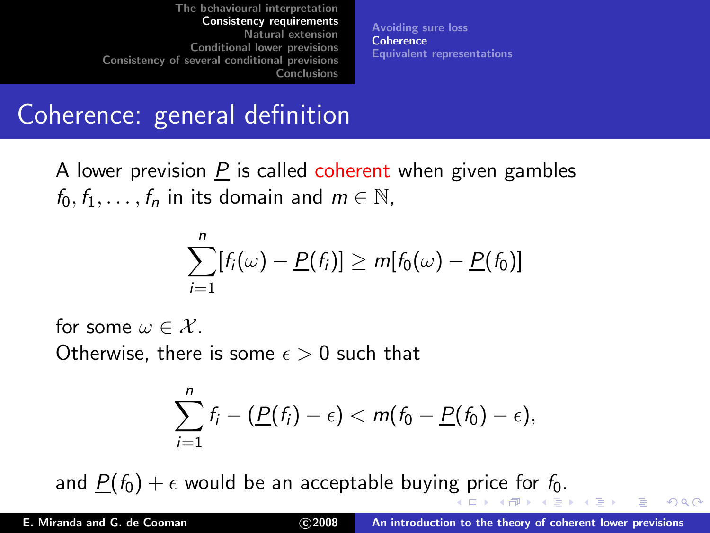[Avoiding sure loss](#page-22-0) **[Coherence](#page-25-0)** [Equivalent representations](#page-32-0)

### Coherence: general definition

A lower prevision  $\underline{P}$  is called coherent when given gambles  $f_0, f_1, \ldots, f_n$  in its domain and  $m \in \mathbb{N}$ ,

$$
\sum_{i=1}^n [f_i(\omega) - \underline{P}(f_i)] \geq m[f_0(\omega) - \underline{P}(f_0)]
$$

for some  $\omega \in \mathcal{X}$ 

Otherwise, there is some  $\epsilon > 0$  such that

<span id="page-26-0"></span>
$$
\sum_{i=1}^n f_i - (\underline{P}(f_i) - \epsilon) < m(f_0 - \underline{P}(f_0) - \epsilon),
$$

and  $\underline{P}(f_0) + \epsilon$  $\underline{P}(f_0) + \epsilon$  $\underline{P}(f_0) + \epsilon$  $\underline{P}(f_0) + \epsilon$  $\underline{P}(f_0) + \epsilon$  would be an acceptable buyin[g p](#page-25-0)[ric](#page-27-0)e [f](#page-26-0)[or](#page-27-0)  $f_0$ [.](#page-31-0)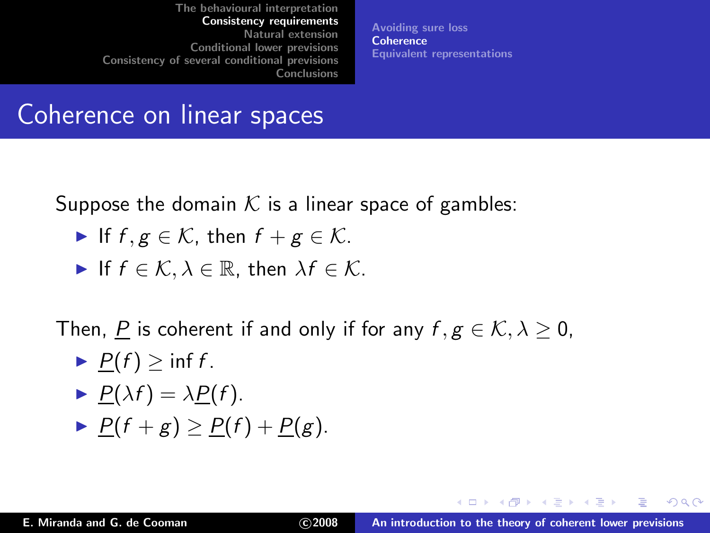[Avoiding sure loss](#page-22-0) **[Coherence](#page-25-0)** [Equivalent representations](#page-32-0)

### Coherence on linear spaces

Suppose the domain K is a linear space of gambles:

If 
$$
f, g \in \mathcal{K}
$$
, then  $f + g \in \mathcal{K}$ .

If 
$$
f \in \mathcal{K}, \lambda \in \mathbb{R}
$$
, then  $\lambda f \in \mathcal{K}$ .

Then, P is coherent if and only if for any  $f, g \in \mathcal{K}, \lambda > 0$ ,

$$
\blacktriangleright \underline{P}(f) \geq \inf f.
$$

$$
\blacktriangleright \underline{P(\lambda f)} = \lambda \underline{P(f)}.
$$

$$
\blacktriangleright \underline{P}(f+g) \geq \underline{P}(f) + \underline{P}(g).
$$

<span id="page-27-0"></span> $2Q$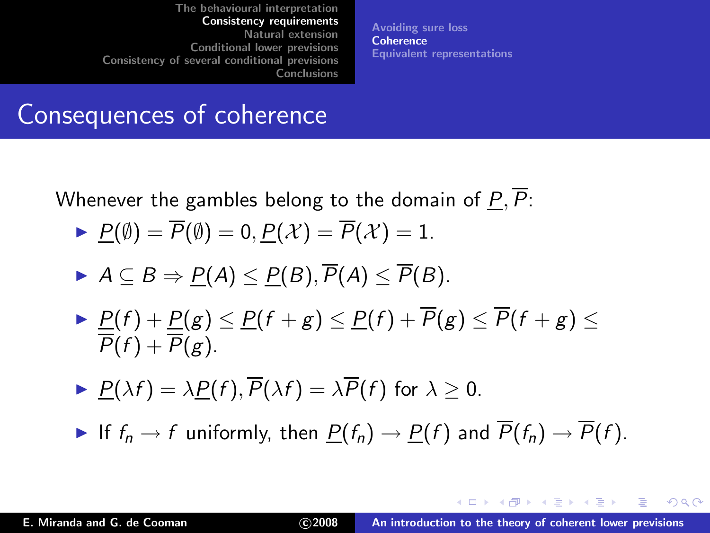[Avoiding sure loss](#page-22-0) **[Coherence](#page-25-0)** [Equivalent representations](#page-32-0)

### Consequences of coherence

Whenever the gambles belong to the domain of  $P, P$ :

- $P(\emptyset) = \overline{P}(\emptyset) = 0, P(\mathcal{X}) = \overline{P}(\mathcal{X}) = 1.$
- $\blacktriangleright$   $A \subseteq B \Rightarrow P(A) \leq P(B), \overline{P}(A) \leq \overline{P}(B).$
- $\blacktriangleright$   $\underline{P}(f) + \underline{P}(g) \le \underline{P}(f + g) \le \underline{P}(f) + P(g) \le P(f + g) \le$  $P(f) + P(g)$ .
- $P(\lambda f) = \lambda P(f), \overline{P}(\lambda f) = \lambda \overline{P}(f)$  for  $\lambda > 0$ .
- If  $f_n \to f$  uniformly, then  $\underline{P}(f_n) \to \underline{P}(f)$  and  $\overline{P}(f_n) \to \overline{P}(f)$ .

イロメ イ押 トイラメ イラメー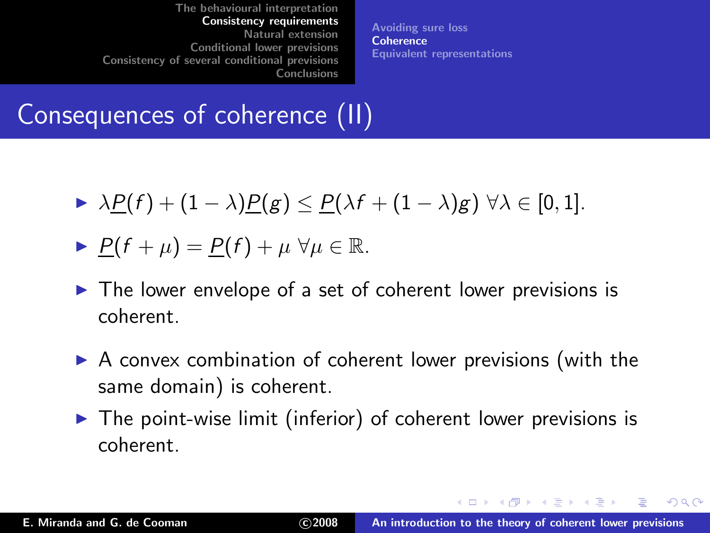[Avoiding sure loss](#page-22-0) **[Coherence](#page-25-0)** [Equivalent representations](#page-32-0)

## Consequences of coherence (II)

 $\rightarrow \lambda P(f) + (1 - \lambda) P(g) \leq P(\lambda f + (1 - \lambda) g) \ \forall \lambda \in [0, 1].$ 

$$
\blacktriangleright \underline{P}(f + \mu) = \underline{P}(f) + \mu \ \forall \mu \in \mathbb{R}.
$$

- $\triangleright$  The lower envelope of a set of coherent lower previsions is coherent.
- ▶ A convex combination of coherent lower previsions (with the same domain) is coherent.
- $\triangleright$  The point-wise limit (inferior) of coherent lower previsions is coherent.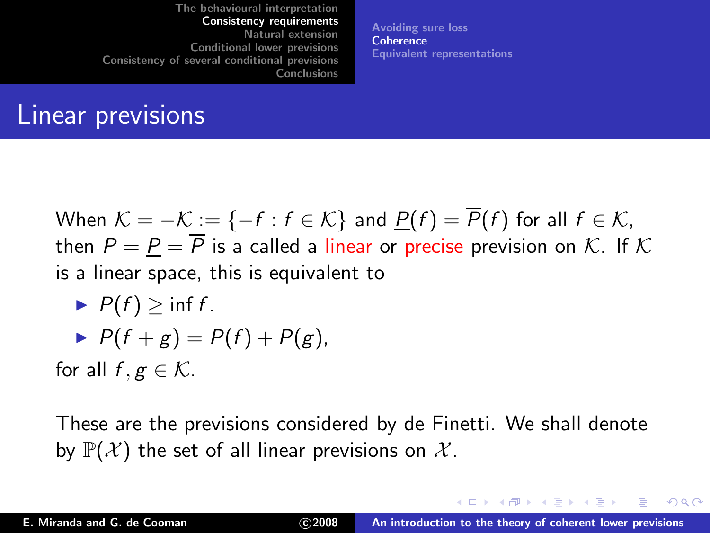[Avoiding sure loss](#page-22-0) **[Coherence](#page-25-0)** [Equivalent representations](#page-32-0)

### Linear previsions

When  $\mathcal{K} = -\mathcal{K} := \{-f : f \in \mathcal{K}\}\$ and  $\underline{P}(f) = \overline{P}(f)$  for all  $f \in \mathcal{K}$ , then  $P = P = \overline{P}$  is a called a linear or precise prevision on K. If K is a linear space, this is equivalent to

$$
\blacktriangleright P(f) \geq \inf f.
$$

$$
\blacktriangleright P(f+g)=P(f)+P(g),
$$

for all  $f, g \in \mathcal{K}$ .

These are the previsions considered by de Finetti. We shall denote by  $\mathbb{P}(\mathcal{X})$  the set of all linear previsions on  $\mathcal{X}$ .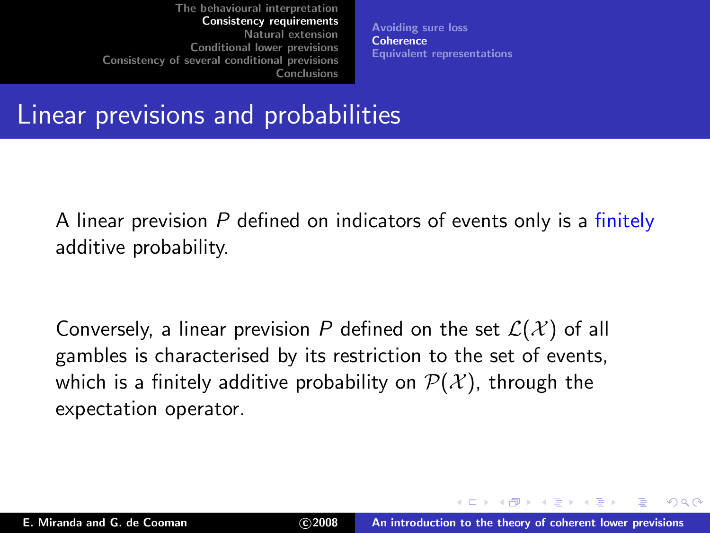<span id="page-31-0"></span>[Avoiding sure loss](#page-22-0) **[Coherence](#page-25-0)** [Equivalent representations](#page-32-0)

### Linear previsions and probabilities

A linear prevision P defined on indicators of events only is a finitely additive probability.

Conversely, a linear prevision P defined on the set  $\mathcal{L}(\mathcal{X})$  of all gambles is characterised by its restriction to the set of events, which is a finitely additive probability on  $\mathcal{P}(\mathcal{X})$ , through the expectation operator.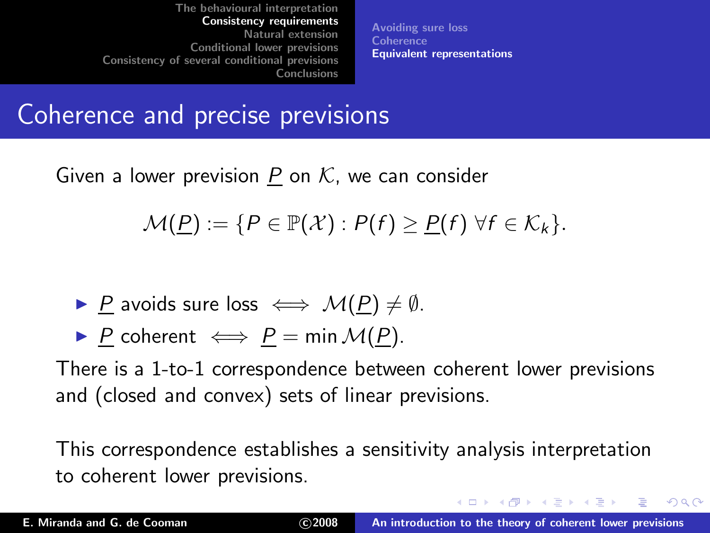<span id="page-32-0"></span>[Avoiding sure loss](#page-22-0) **[Coherence](#page-25-0)** [Equivalent representations](#page-32-0)

### Coherence and precise previsions

Given a lower prevision P on  $K$ , we can consider

 $\mathcal{M}(\underline{P}) := \{ P \in \mathbb{P}(\mathcal{X}) : P(f) \geq \underline{P}(f) \ \forall f \in \mathcal{K}_k \}.$ 

- ▶ P avoids sure loss  $\iff \mathcal{M}(P) \neq \emptyset$ .
- ▶ P coherent  $\iff$  P = min  $\mathcal{M}(P)$ .

There is a 1-to-1 correspondence between coherent lower previsions and (closed and convex) sets of linear previsions.

This correspondence establishes a sensitivity analysis interpretation to coherent lower previsions.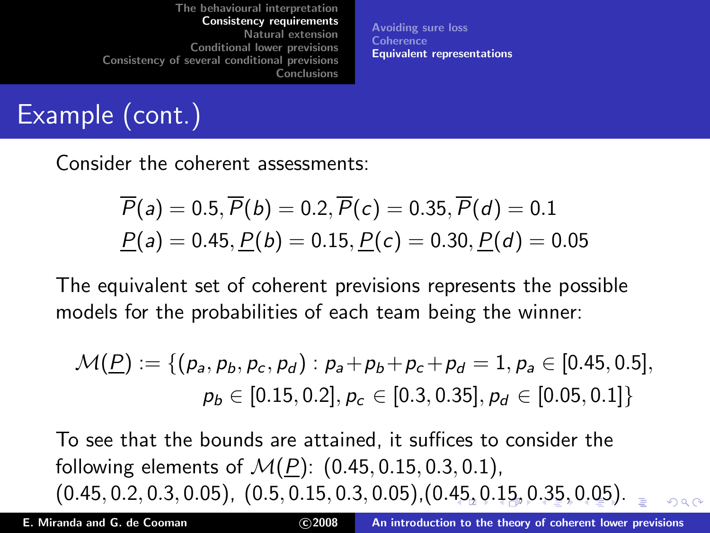[Avoiding sure loss](#page-22-0) **[Coherence](#page-25-0)** [Equivalent representations](#page-32-0)

# Example (cont.)

Consider the coherent assessments:

$$
\overline{P}(a) = 0.5, \overline{P}(b) = 0.2, \overline{P}(c) = 0.35, \overline{P}(d) = 0.1
$$
  

$$
\underline{P}(a) = 0.45, \underline{P}(b) = 0.15, \underline{P}(c) = 0.30, \underline{P}(d) = 0.05
$$

The equivalent set of coherent previsions represents the possible models for the probabilities of each team being the winner:

$$
\mathcal{M}(\underline{P}) := \{ (p_a, p_b, p_c, p_d) : p_a + p_b + p_c + p_d = 1, p_a \in [0.45, 0.5],
$$
  

$$
p_b \in [0.15, 0.2], p_c \in [0.3, 0.35], p_d \in [0.05, 0.1] \}
$$

To see that the bounds are attained, it suffices to consider the following elements of  $M(P)$ : (0.45, 0.15, 0.3, 0.1),  $(0.45, 0.2, 0.3, 0.05), (0.5, 0.15, 0.3, 0.05), (0.45, 0.15, 0.35, 0.05).$  $(0.45, 0.2, 0.3, 0.05), (0.5, 0.15, 0.3, 0.05), (0.45, 0.15, 0.35, 0.05).$  $(0.45, 0.2, 0.3, 0.05), (0.5, 0.15, 0.3, 0.05), (0.45, 0.15, 0.35, 0.05).$  $(0.45, 0.2, 0.3, 0.05), (0.5, 0.15, 0.3, 0.05), (0.45, 0.15, 0.35, 0.05).$  $(0.45, 0.2, 0.3, 0.05), (0.5, 0.15, 0.3, 0.05), (0.45, 0.15, 0.35, 0.05).$  $(0.45, 0.2, 0.3, 0.05), (0.5, 0.15, 0.3, 0.05), (0.45, 0.15, 0.35, 0.05).$  $(0.45, 0.2, 0.3, 0.05), (0.5, 0.15, 0.3, 0.05), (0.45, 0.15, 0.35, 0.05).$  $(0.45, 0.2, 0.3, 0.05), (0.5, 0.15, 0.3, 0.05), (0.45, 0.15, 0.35, 0.05).$  $(0.45, 0.2, 0.3, 0.05), (0.5, 0.15, 0.3, 0.05), (0.45, 0.15, 0.35, 0.05).$  $(0.45, 0.2, 0.3, 0.05), (0.5, 0.15, 0.3, 0.05), (0.45, 0.15, 0.35, 0.05).$  $(0.45, 0.2, 0.3, 0.05), (0.5, 0.15, 0.3, 0.05), (0.45, 0.15, 0.35, 0.05).$  $(0.45, 0.2, 0.3, 0.05), (0.5, 0.15, 0.3, 0.05), (0.45, 0.15, 0.35, 0.05).$  $(0.45, 0.2, 0.3, 0.05), (0.5, 0.15, 0.3, 0.05), (0.45, 0.15, 0.35, 0.05).$  $(0.45, 0.2, 0.3, 0.05), (0.5, 0.15, 0.3, 0.05), (0.45, 0.15, 0.35, 0.05).$  $(0.45, 0.2, 0.3, 0.05), (0.5, 0.15, 0.3, 0.05), (0.45, 0.15, 0.35, 0.05).$ 

<span id="page-33-0"></span>

E. Miranda and G. de Cooman c 2008 [An introduction to the theory of coherent lower previsions](#page-0-0)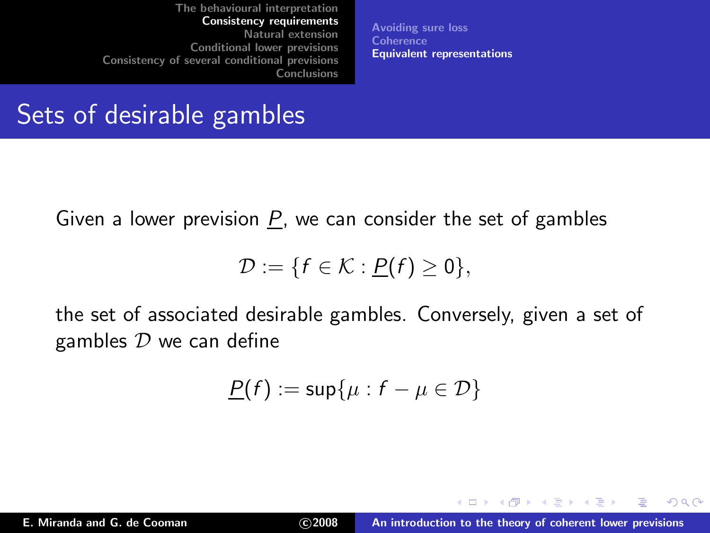[Avoiding sure loss](#page-22-0) **[Coherence](#page-25-0)** [Equivalent representations](#page-32-0)

### Sets of desirable gambles

Given a lower prevision  $P$ , we can consider the set of gambles

$$
\mathcal{D} := \{f \in \mathcal{K} : \underline{P}(f) \geq 0\},\
$$

the set of associated desirable gambles. Conversely, given a set of gambles  $D$  we can define

$$
\underline{P}(f) := \sup\{\mu : f - \mu \in \mathcal{D}\}
$$

<span id="page-34-0"></span> $2Q$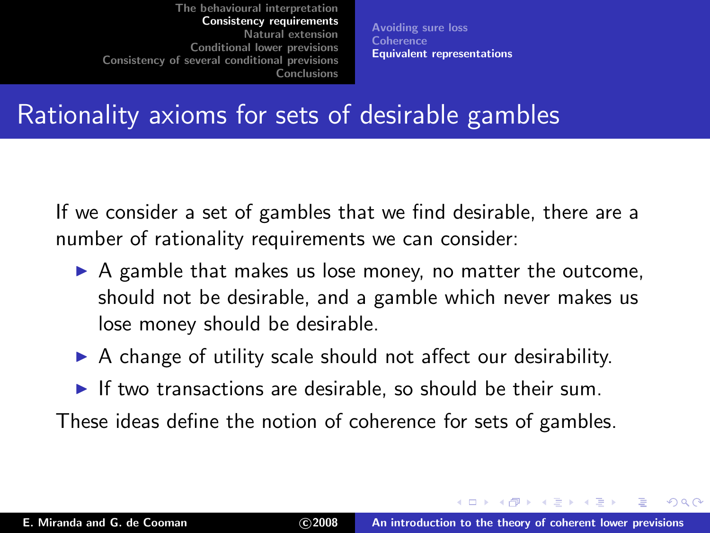[Avoiding sure loss](#page-22-0) **[Coherence](#page-25-0)** [Equivalent representations](#page-32-0)

### Rationality axioms for sets of desirable gambles

If we consider a set of gambles that we find desirable, there are a number of rationality requirements we can consider:

- $\triangleright$  A gamble that makes us lose money, no matter the outcome, should not be desirable, and a gamble which never makes us lose money should be desirable.
- $\triangleright$  A change of utility scale should not affect our desirability.
- $\blacktriangleright$  If two transactions are desirable, so should be their sum.

These ideas define the notion of coherence for sets of gambles.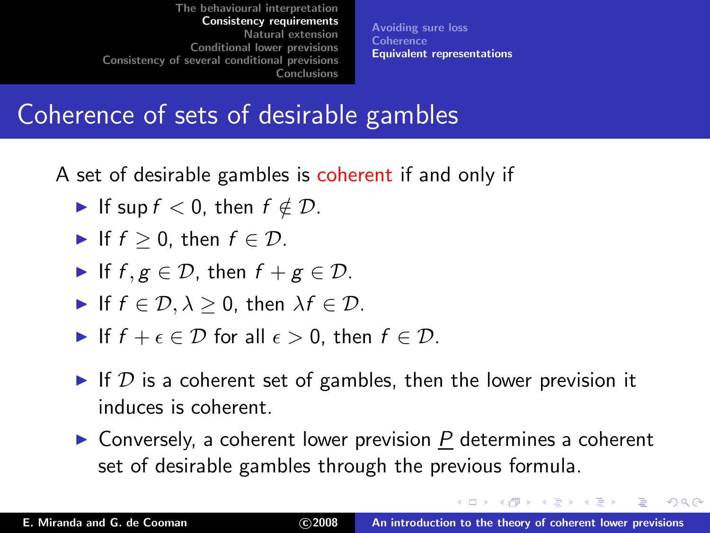[Avoiding sure loss](#page-22-0) **[Coherence](#page-25-0)** [Equivalent representations](#page-32-0)

## Coherence of sets of desirable gambles

A set of desirable gambles is coherent if and only if

- If sup  $f < 0$ , then  $f \notin \mathcal{D}$ .
- If  $f > 0$ , then  $f \in \mathcal{D}$ .
- If  $f, g \in \mathcal{D}$ , then  $f + g \in \mathcal{D}$ .
- If  $f \in \mathcal{D}, \lambda > 0$ , then  $\lambda f \in \mathcal{D}$ .
- If f  $+ \epsilon \in \mathcal{D}$  for all  $\epsilon > 0$ , then  $f \in \mathcal{D}$ .
- If D is a coherent set of gambles, then the lower prevision it induces is coherent.
- $\triangleright$  Conversely, a coherent lower prevision P determines a coherent set of desirable gambles through the previous formula.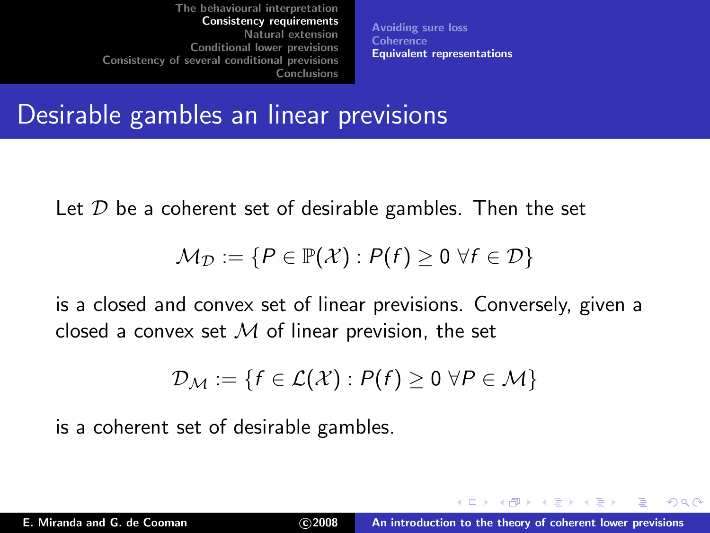[Avoiding sure loss](#page-22-0) **[Coherence](#page-25-0)** [Equivalent representations](#page-32-0)

### Desirable gambles an linear previsions

Let  $D$  be a coherent set of desirable gambles. Then the set

$$
\mathcal{M}_{\mathcal{D}} := \{ P \in \mathbb{P}(\mathcal{X}) : P(f) \ge 0 \ \forall f \in \mathcal{D} \}
$$

is a closed and convex set of linear previsions. Conversely, given a closed a convex set  $M$  of linear prevision, the set

$$
\mathcal{D}_{\mathcal{M}} := \{ f \in \mathcal{L}(\mathcal{X}) : P(f) \ge 0 \; \forall P \in \mathcal{M} \}
$$

is a coherent set of desirable gambles.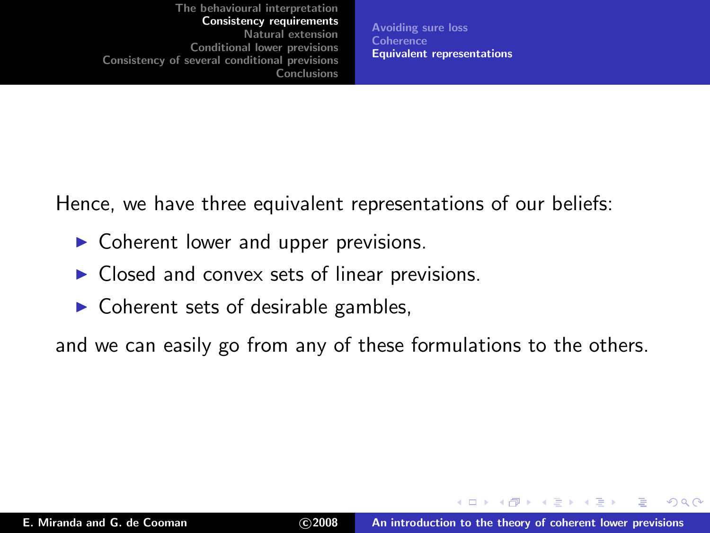[Avoiding sure loss](#page-22-0) **[Coherence](#page-25-0)** [Equivalent representations](#page-32-0)

Hence, we have three equivalent representations of our beliefs:

- $\triangleright$  Coherent lower and upper previsions.
- $\triangleright$  Closed and convex sets of linear previsions.
- $\triangleright$  Coherent sets of desirable gambles,

and we can easily go from any of these formulations to the others.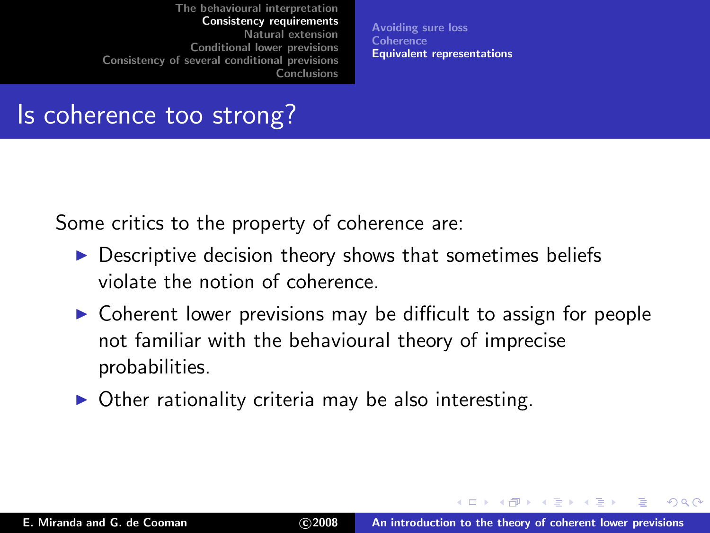[Avoiding sure loss](#page-22-0) **[Coherence](#page-25-0)** [Equivalent representations](#page-32-0)

## Is coherence too strong?

Some critics to the property of coherence are:

- ▶ Descriptive decision theory shows that sometimes beliefs violate the notion of coherence.
- ▶ Coherent lower previsions may be difficult to assign for people not familiar with the behavioural theory of imprecise probabilities.
- $\triangleright$  Other rationality criteria may be also interesting.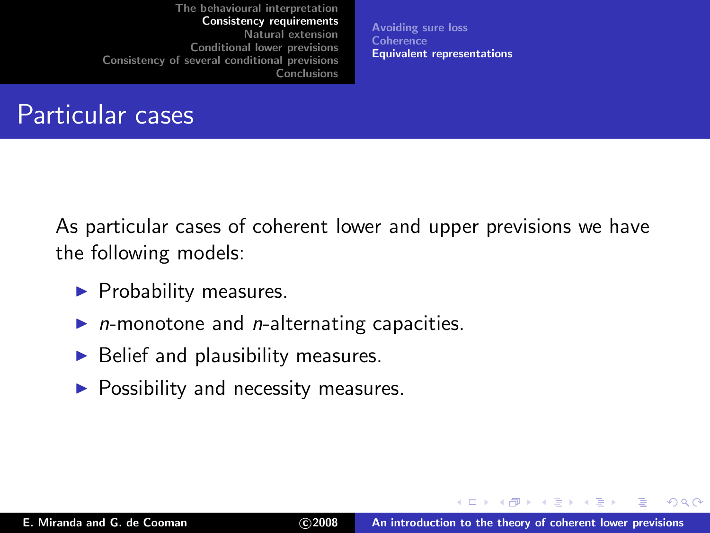[Avoiding sure loss](#page-22-0) **[Coherence](#page-25-0)** [Equivalent representations](#page-32-0)

### Particular cases

As particular cases of coherent lower and upper previsions we have the following models:

- $\blacktriangleright$  Probability measures.
- $n$ -monotone and  $n$ -alternating capacities.
- $\blacktriangleright$  Belief and plausibility measures.
- $\blacktriangleright$  Possibility and necessity measures.

 $2Q$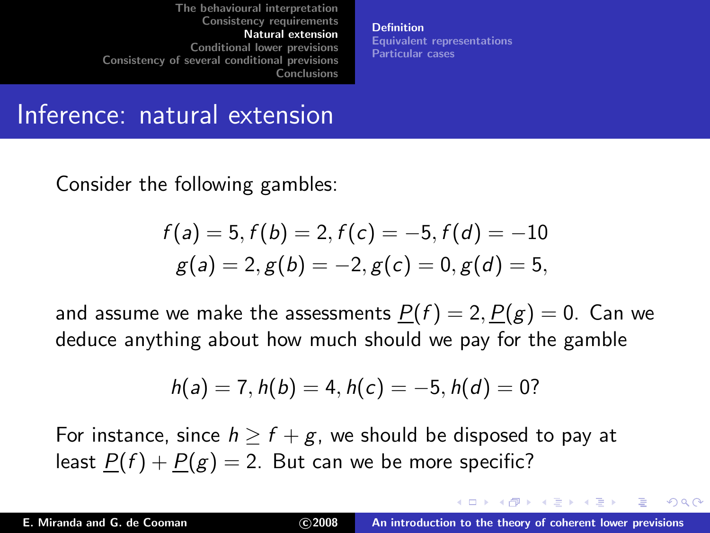**[Definition](#page-41-0)** [Equivalent representations](#page-45-0) [Particular cases](#page-48-0)

#### Inference: natural extension

Consider the following gambles:

$$
f(a) = 5, f(b) = 2, f(c) = -5, f(d) = -10
$$
  

$$
g(a) = 2, g(b) = -2, g(c) = 0, g(d) = 5,
$$

and assume we make the assessments  $P(f) = 2, P(g) = 0$ . Can we deduce anything about how much should we pay for the gamble

<span id="page-41-0"></span>
$$
h(a) = 7, h(b) = 4, h(c) = -5, h(d) = 0?
$$

For instance, since  $h \ge f + g$ , we should be disposed to pay at least  $P(f) + P(g) = 2$ . But can we be more specific?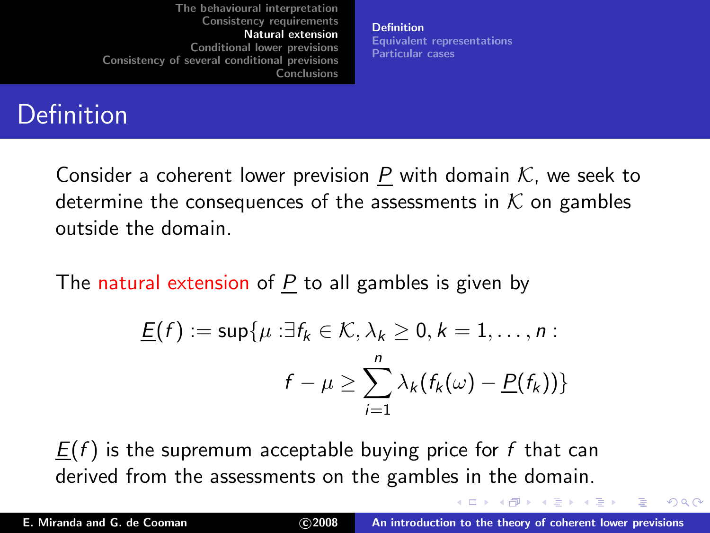**[Definition](#page-41-0)** [Equivalent representations](#page-45-0) [Particular cases](#page-48-0)

# Definition

Consider a coherent lower prevision P with domain  $K$ , we seek to determine the consequences of the assessments in  $K$  on gambles outside the domain.

The natural extension of  $P$  to all gambles is given by

$$
\underline{F}(f) := \sup \{ \mu : \exists f_k \in \mathcal{K}, \lambda_k \ge 0, k = 1, \dots, n :
$$

$$
f - \mu \ge \sum_{i=1}^n \lambda_k (f_k(\omega) - \underline{P}(f_k)) \}
$$

 $E(f)$  is the supremum acceptable buying price for f that can derived from the assessments on the gambles in the domain.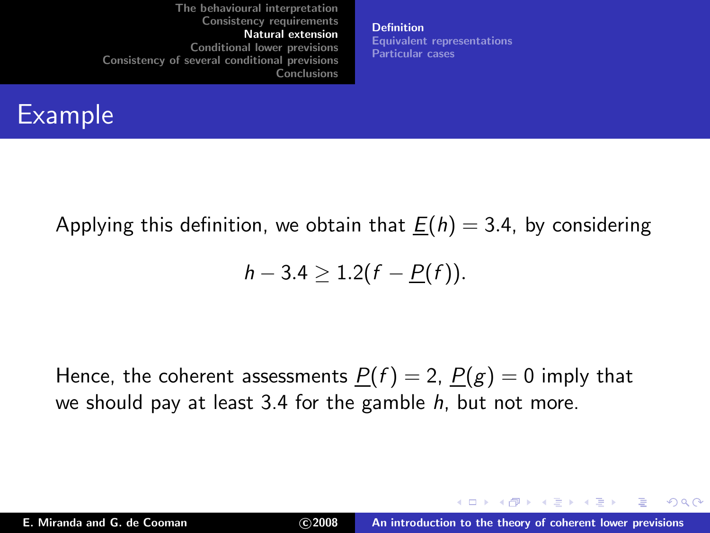**[Definition](#page-41-0)** [Equivalent representations](#page-45-0) [Particular cases](#page-48-0)

## Example

Applying this definition, we obtain that  $\underline{F}(h) = 3.4$ , by considering

$$
h-3.4\geq 1.2(f-\underline{P}(f)).
$$

Hence, the coherent assessments  $P(f) = 2$ ,  $P(g) = 0$  imply that we should pay at least 3.4 for the gamble  $h$ , but not more.

 $2Q$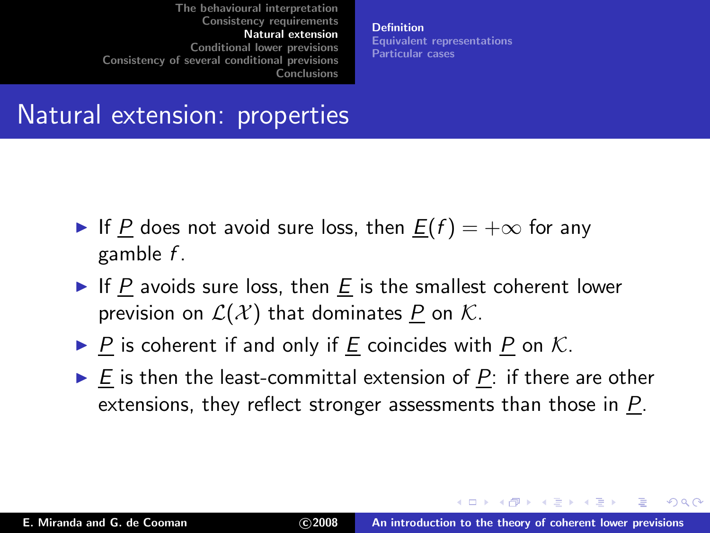**[Definition](#page-41-0)** [Equivalent representations](#page-45-0) [Particular cases](#page-48-0)

### Natural extension: properties

- If P does not avoid sure loss, then  $E(f) = +\infty$  for any gamble f .
- If P avoids sure loss, then E is the smallest coherent lower prevision on  $\mathcal{L}(\mathcal{X})$  that dominates P on K.
- $\triangleright$  P is coherent if and only if E coincides with P on K.
- $\triangleright$  E is then the least-committal extension of P: if there are other extensions, they reflect stronger assessments than those in P.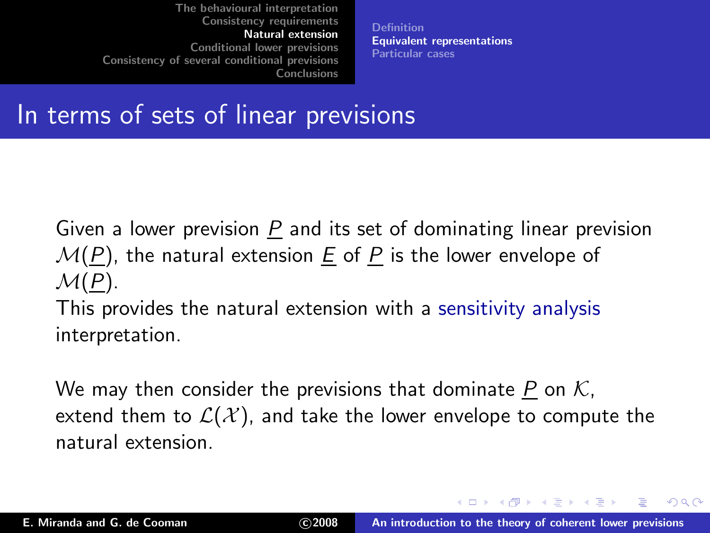<span id="page-45-0"></span>**[Definition](#page-41-0)** [Equivalent representations](#page-45-0) [Particular cases](#page-48-0)

### In terms of sets of linear previsions

Given a lower prevision  $P$  and its set of dominating linear prevision  $\mathcal{M}(P)$ , the natural extension E of P is the lower envelope of  $\mathcal{M}(P)$ .

This provides the natural extension with a sensitivity analysis interpretation.

We may then consider the previsions that dominate P on  $K$ , extend them to  $\mathcal{L}(\mathcal{X})$ , and take the lower envelope to compute the natural extension.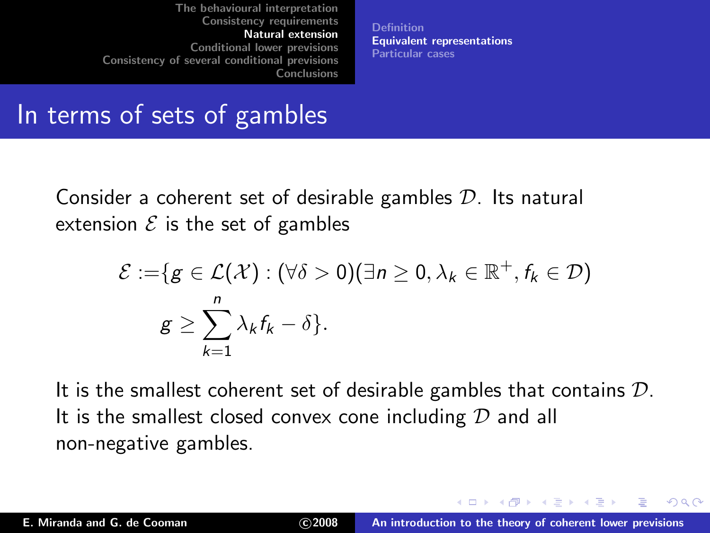**[Definition](#page-41-0)** [Equivalent representations](#page-45-0) [Particular cases](#page-48-0)

### In terms of sets of gambles

Consider a coherent set of desirable gambles  $D$ . Its natural extension  $\mathcal E$  is the set of gambles

$$
\mathcal{E} := \{ g \in \mathcal{L}(\mathcal{X}) : (\forall \delta > 0)(\exists n \ge 0, \lambda_k \in \mathbb{R}^+, f_k \in \mathcal{D}) \mid g \ge \sum_{k=1}^n \lambda_k f_k - \delta \}.
$$

It is the smallest coherent set of desirable gambles that contains  $D$ . It is the smallest closed convex cone including  $D$  and all non-negative gambles.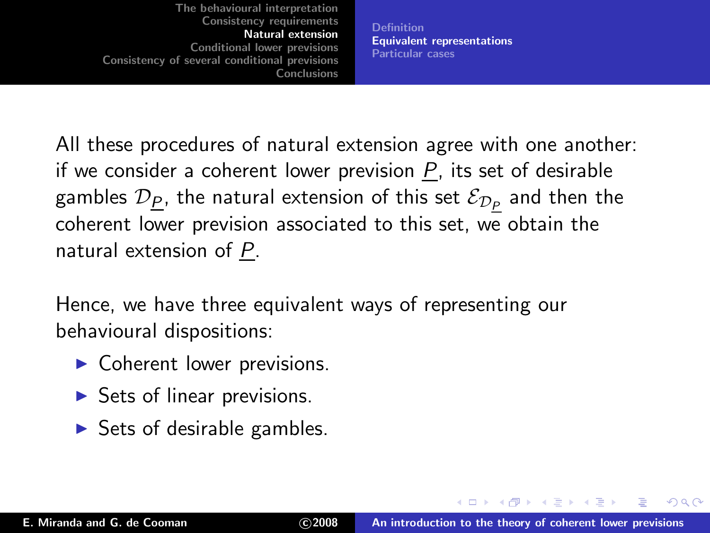**[Definition](#page-41-0)** [Equivalent representations](#page-45-0) [Particular cases](#page-48-0)

All these procedures of natural extension agree with one another: if we consider a coherent lower prevision  $P$ , its set of desirable gambles  $\mathcal{D}_{\underline{P}}$ , the natural extension of this set  $\mathcal{E}_{\mathcal{D}_{\underline{P}}}$  and then the coherent lower prevision associated to this set, we obtain the natural extension of P.

Hence, we have three equivalent ways of representing our behavioural dispositions:

- $\triangleright$  Coherent lower previsions.
- $\triangleright$  Sets of linear previsions.
- $\triangleright$  Sets of desirable gambles.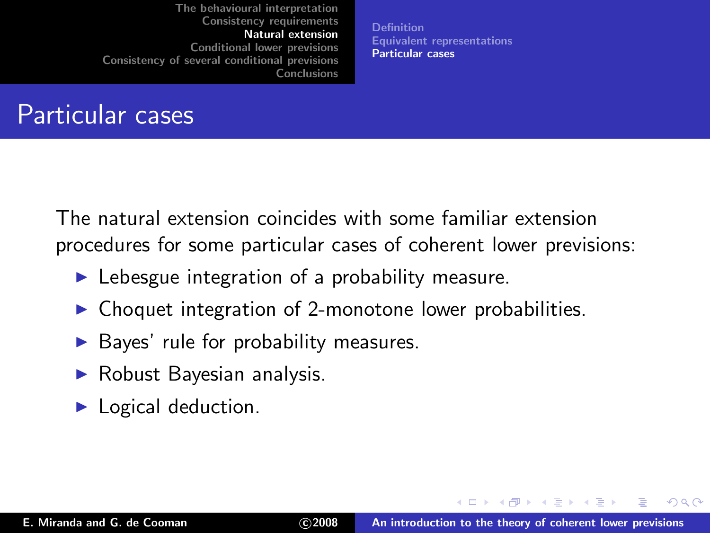<span id="page-48-0"></span>**[Definition](#page-41-0)** [Equivalent representations](#page-45-0) [Particular cases](#page-48-0)

## Particular cases

The natural extension coincides with some familiar extension procedures for some particular cases of coherent lower previsions:

- $\blacktriangleright$  Lebesgue integration of a probability measure.
- ◮ Choquet integration of 2-monotone lower probabilities.
- ▶ Bayes' rule for probability measures.
- ▶ Robust Bayesian analysis.
- $\blacktriangleright$  Logical deduction.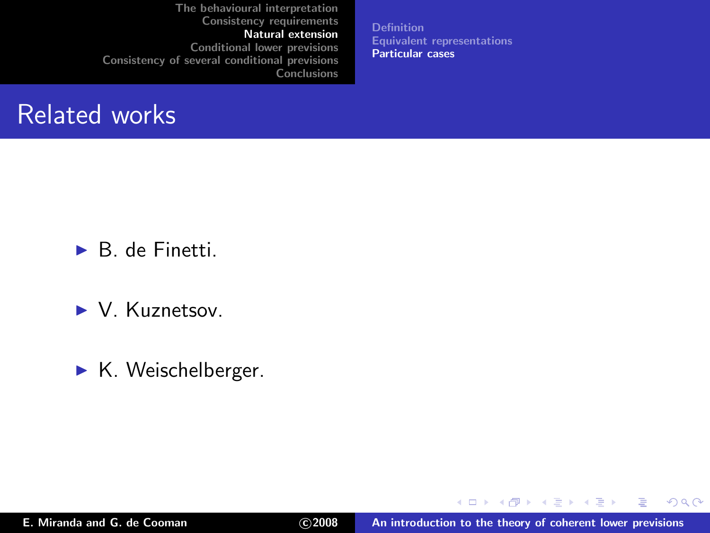[Definition](#page-41-0) [Equivalent representations](#page-45-0) [Particular cases](#page-48-0)

#### Related works

 $\blacktriangleright$  B. de Finetti.

▶ V. Kuznetsov.

► K. Weischelberger.

 $299$ 

店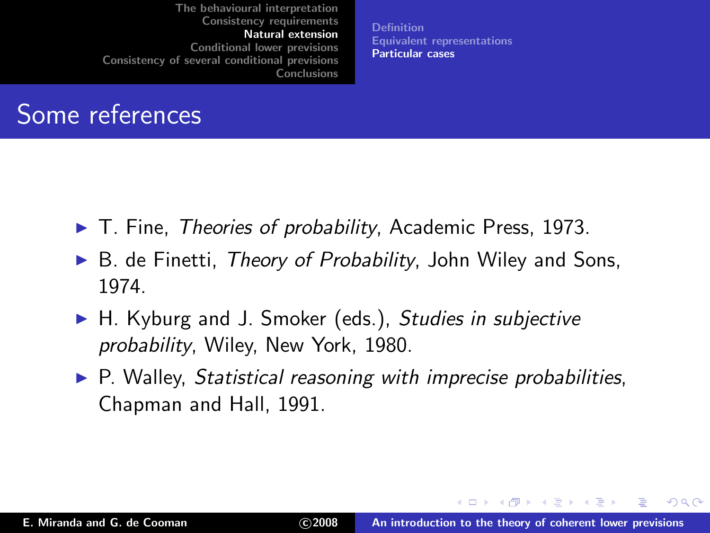**[Definition](#page-41-0)** [Equivalent representations](#page-45-0) [Particular cases](#page-48-0)

## Some references

- ► T. Fine, *Theories of probability*, Academic Press, 1973.
- $\triangleright$  B. de Finetti, Theory of Probability, John Wiley and Sons, 1974.
- ► H. Kyburg and J. Smoker (eds.), Studies in subjective probability, Wiley, New York, 1980.
- $\triangleright$  P. Walley, Statistical reasoning with imprecise probabilities, Chapman and Hall, 1991.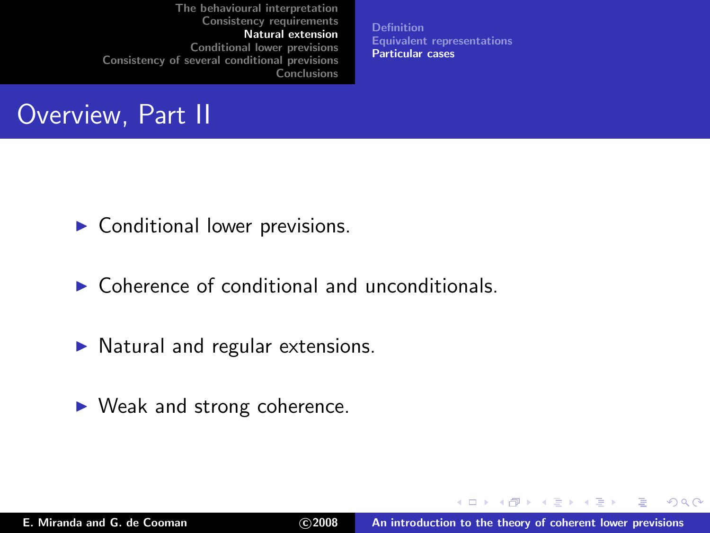**[Definition](#page-41-0)** [Equivalent representations](#page-45-0) [Particular cases](#page-48-0)

## Overview, Part II

 $\triangleright$  Conditional lower previsions.

- $\triangleright$  Coherence of conditional and unconditionals.
- $\triangleright$  Natural and regular extensions.
- $\blacktriangleright$  Weak and strong coherence.

メロメ メ御 メメ ミメ メミメ

 $2Q$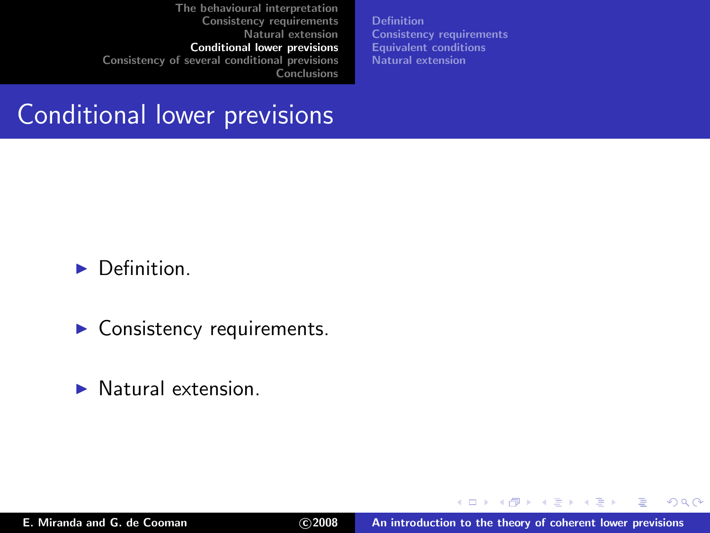[Definition](#page-53-0) [Consistency requirements](#page-59-0) [Equivalent conditions](#page-69-0) [Natural extension](#page-73-0)

### Conditional lower previsions

 $\blacktriangleright$  Definition.

- $\blacktriangleright$  Consistency requirements.
- $\blacktriangleright$  Natural extension.

<span id="page-52-0"></span> $2Q$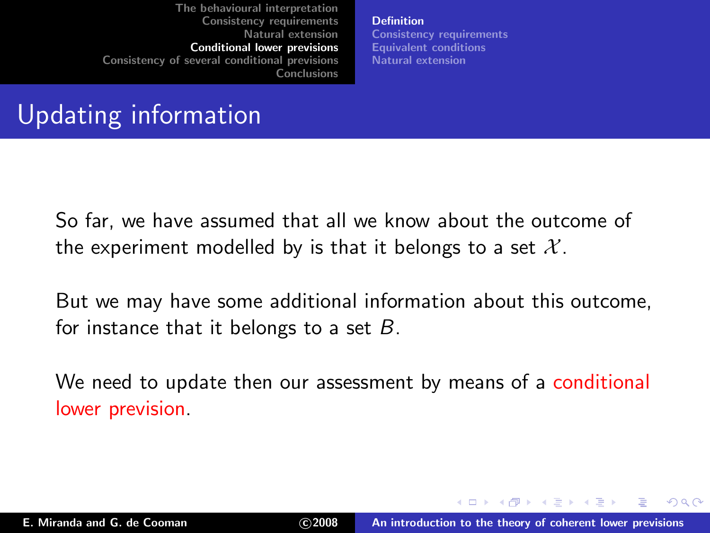<span id="page-53-0"></span>[Definition](#page-53-0) [Consistency requirements](#page-59-0) [Equivalent conditions](#page-69-0) [Natural extension](#page-73-0)

# Updating information

So far, we have assumed that all we know about the outcome of the experiment modelled by is that it belongs to a set  $\mathcal{X}$ .

But we may have some additional information about this outcome, for instance that it belongs to a set  $B$ .

We need to update then our assessment by means of a conditional lower prevision.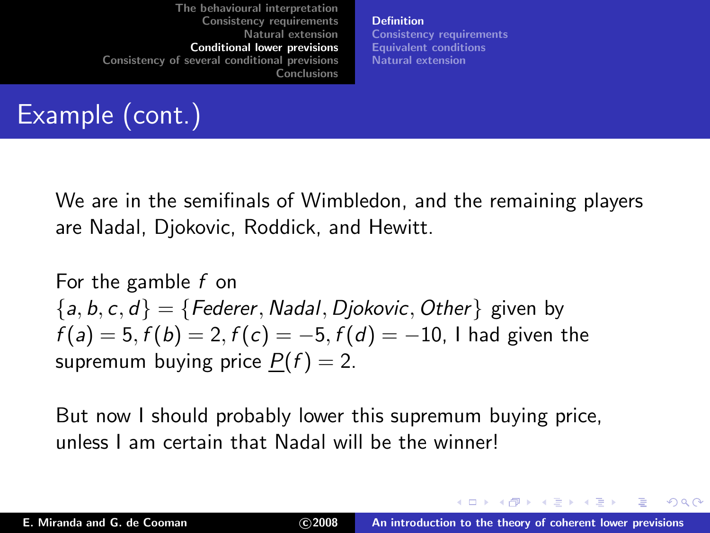[Definition](#page-53-0) [Consistency requirements](#page-59-0) [Equivalent conditions](#page-69-0) [Natural extension](#page-73-0)

# Example (cont.)

We are in the semifinals of Wimbledon, and the remaining players are Nadal, Djokovic, Roddick, and Hewitt.

For the gamble f on  ${a, b, c, d} = {Federer, Nadal, Diokovic, Other}$  given by  $f(a) = 5, f(b) = 2, f(c) = -5, f(d) = -10$ , I had given the supremum buying price  $P(f) = 2$ .

But now I should probably lower this supremum buying price, unless I am certain that Nadal will be the winner!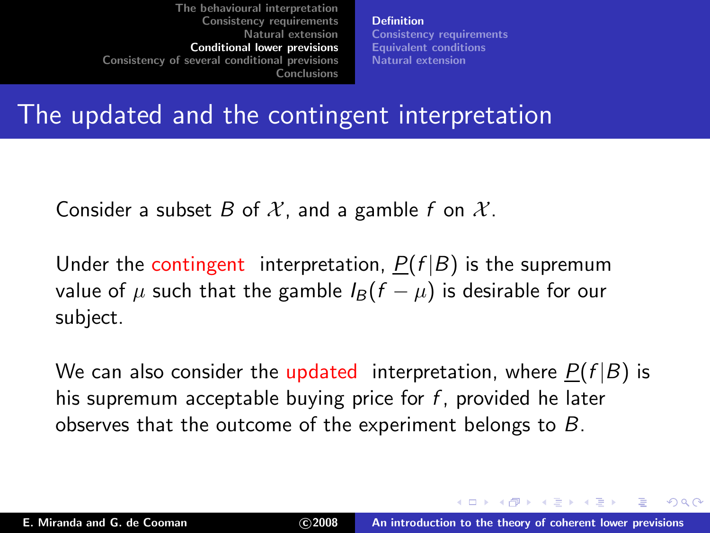[Definition](#page-53-0) [Consistency requirements](#page-59-0) [Equivalent conditions](#page-69-0) [Natural extension](#page-73-0)

### The updated and the contingent interpretation

Consider a subset B of X, and a gamble f on  $\mathcal{X}$ .

Under the contingent interpretation,  $P(f|B)$  is the supremum value of  $\mu$  such that the gamble  $I_B(f - \mu)$  is desirable for our subject.

We can also consider the updated interpretation, where  $P(f|B)$  is his supremum acceptable buying price for  $f$ , provided he later observes that the outcome of the experiment belongs to B.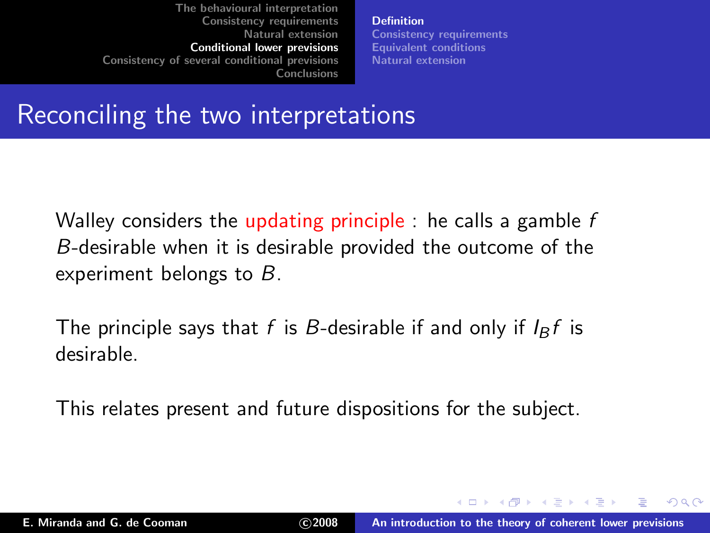[Definition](#page-53-0) [Consistency requirements](#page-59-0) [Equivalent conditions](#page-69-0) [Natural extension](#page-73-0)

### Reconciling the two interpretations

Walley considers the updating principle : he calls a gamble  $f$ B-desirable when it is desirable provided the outcome of the experiment belongs to B.

The principle says that f is B-desirable if and only if  $I_B f$  is desirable.

This relates present and future dispositions for the subject.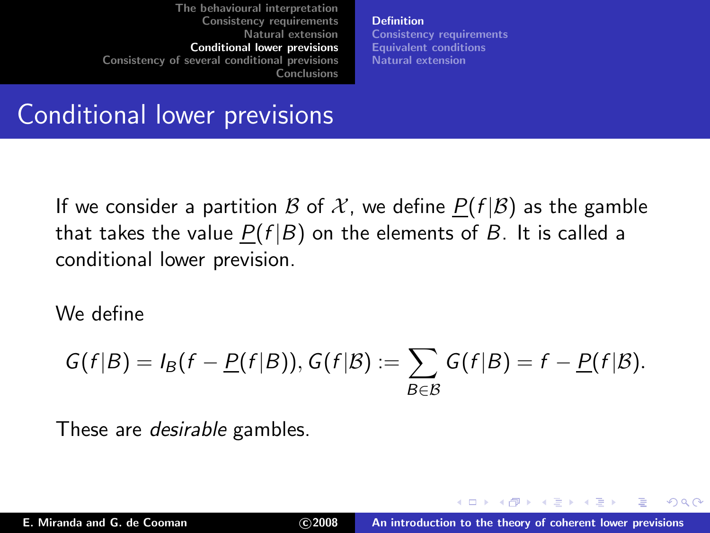[Definition](#page-53-0) [Consistency requirements](#page-59-0) [Equivalent conditions](#page-69-0) [Natural extension](#page-73-0)

# Conditional lower previsions

If we consider a partition B of X, we define  $P(f|\mathcal{B})$  as the gamble that takes the value  $P(f|B)$  on the elements of B. It is called a conditional lower prevision.

We define

$$
G(f|B) = I_B(f - \underline{P}(f|B)), G(f|B) := \sum_{B \in \mathcal{B}} G(f|B) = f - \underline{P}(f|B).
$$

These are desirable gambles.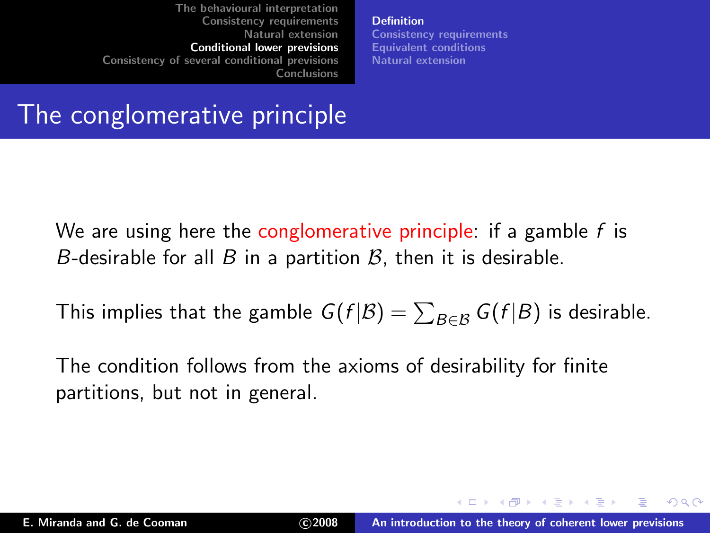[Definition](#page-53-0) [Consistency requirements](#page-59-0) [Equivalent conditions](#page-69-0) [Natural extension](#page-73-0)

The conglomerative principle

We are using here the conglomerative principle: if a gamble  $f$  is B-desirable for all B in a partition  $\beta$ , then it is desirable.

This implies that the gamble  $G(f|\mathcal{B}) = \sum_{B \in \mathcal{B}} G(f|B)$  is desirable.

The condition follows from the axioms of desirability for finite partitions, but not in general.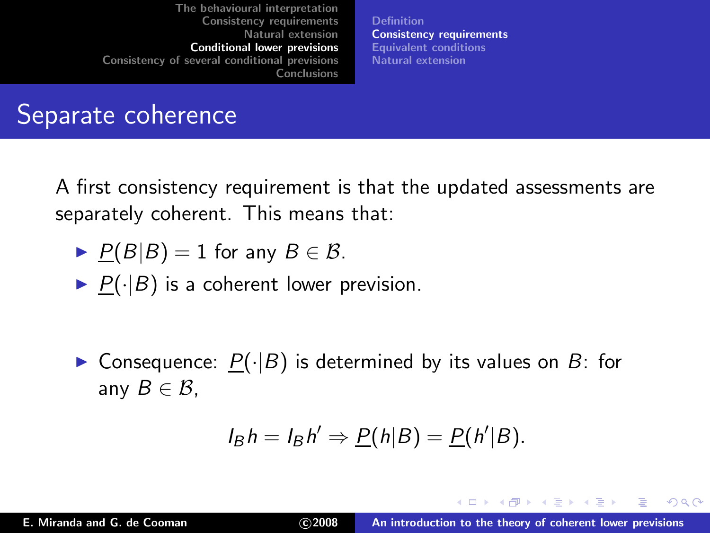[Definition](#page-53-0) [Consistency requirements](#page-59-0) [Equivalent conditions](#page-69-0) [Natural extension](#page-73-0)

### Separate coherence

A first consistency requirement is that the updated assessments are separately coherent. This means that:

- $\blacktriangleright$   $P(B|B) = 1$  for any  $B \in \mathcal{B}$ .
- $\blacktriangleright$   $P(\cdot|B)$  is a coherent lower prevision.
- ▶ Consequence:  $P(\cdot|B)$  is determined by its values on B: for any  $B \in \mathcal{B}$ .

<span id="page-59-0"></span>
$$
I_B h = I_B h' \Rightarrow P(h|B) = P(h'|B).
$$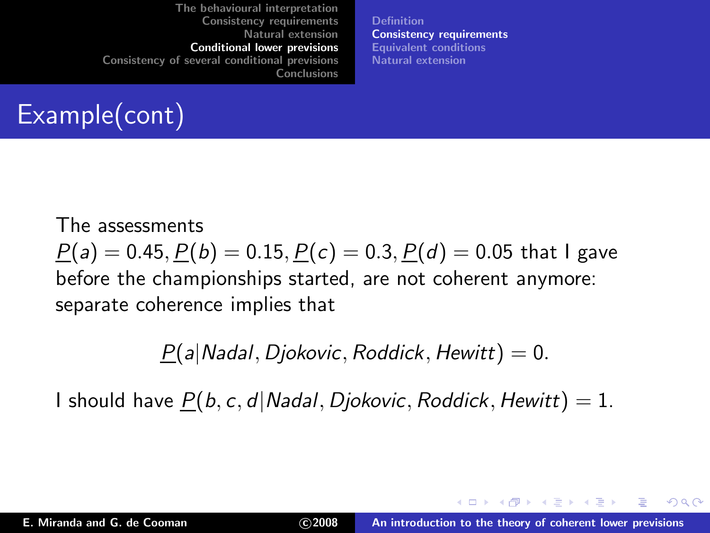[Definition](#page-53-0) [Consistency requirements](#page-59-0) [Equivalent conditions](#page-69-0) [Natural extension](#page-73-0)

# Example(cont)

The assessments  $P(a) = 0.45, P(b) = 0.15, P(c) = 0.3, P(d) = 0.05$  that I gave before the championships started, are not coherent anymore: separate coherence implies that

 $P(a|Nadal, Diokovic, Roddict, Hewitt) = 0.$ 

I should have  $P(b, c, d|Nada|, Djokovic, Roddick, Hewitt) = 1.$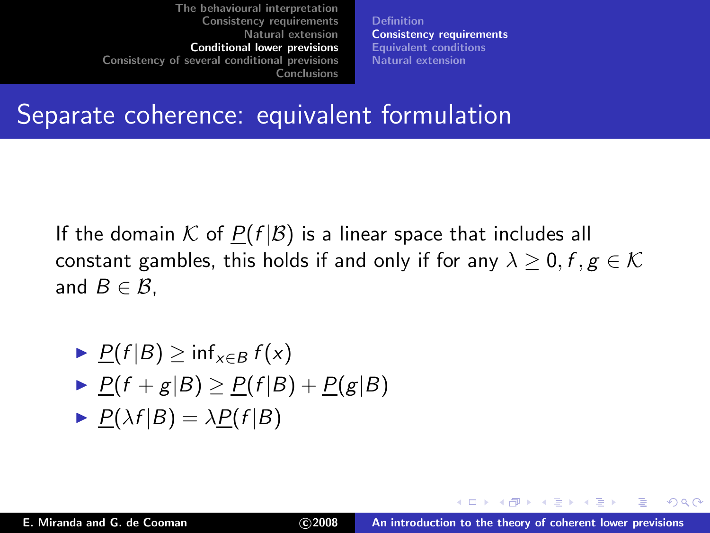[Definition](#page-53-0) [Consistency requirements](#page-59-0) [Equivalent conditions](#page-69-0) [Natural extension](#page-73-0)

#### Separate coherence: equivalent formulation

If the domain K of  $P(f|\mathcal{B})$  is a linear space that includes all constant gambles, this holds if and only if for any  $\lambda \geq 0$ ,  $f, g \in \mathcal{K}$ and  $B \in \mathcal{B}$ .

$$
\frac{P(f|B) \ge \inf_{x \in B} f(x)}{P(f+g|B) \ge P(f|B) + P(g|B)}
$$
  
\n
$$
\frac{P(\lambda f|B) = \lambda P(f|B)}{P(f|B) + P(g|B)}
$$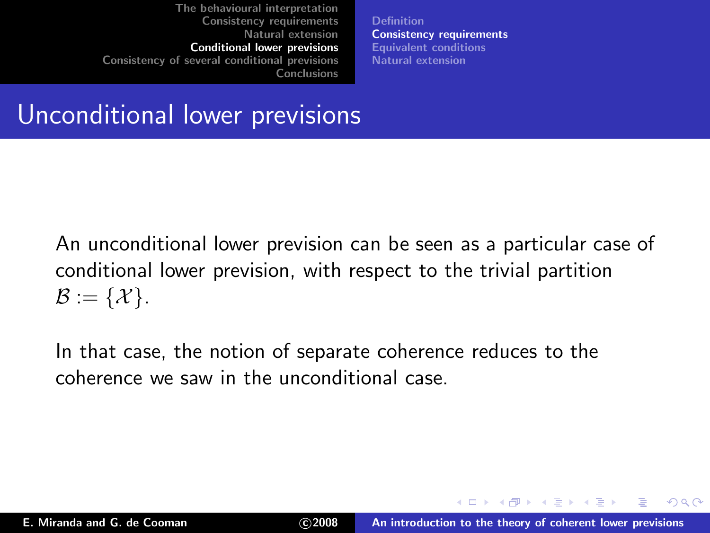[Definition](#page-53-0) [Consistency requirements](#page-59-0) [Equivalent conditions](#page-69-0) [Natural extension](#page-73-0)

Unconditional lower previsions

An unconditional lower prevision can be seen as a particular case of conditional lower prevision, with respect to the trivial partition  $\mathcal{B} := \{ \mathcal{X} \}.$ 

In that case, the notion of separate coherence reduces to the coherence we saw in the unconditional case.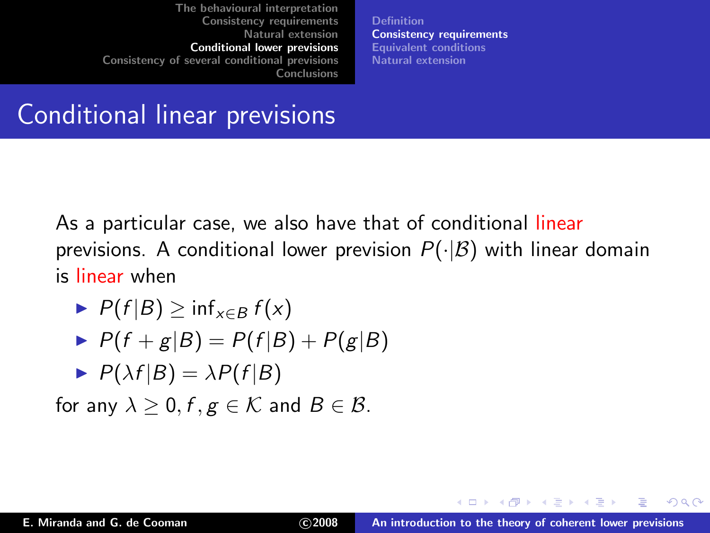[Definition](#page-53-0) [Consistency requirements](#page-59-0) [Equivalent conditions](#page-69-0) [Natural extension](#page-73-0)

# Conditional linear previsions

As a particular case, we also have that of conditional linear previsions. A conditional lower prevision  $P(\cdot|\mathcal{B})$  with linear domain is linear when

$$
\blacktriangleright P(f|B) \geq \inf_{x \in B} f(x)
$$

$$
\blacktriangleright P(f+g|B) = P(f|B) + P(g|B)
$$

$$
\blacktriangleright P(\lambda f|B) = \lambda P(f|B)
$$

for any  $\lambda > 0$ ,  $f, g \in \mathcal{K}$  and  $B \in \mathcal{B}$ .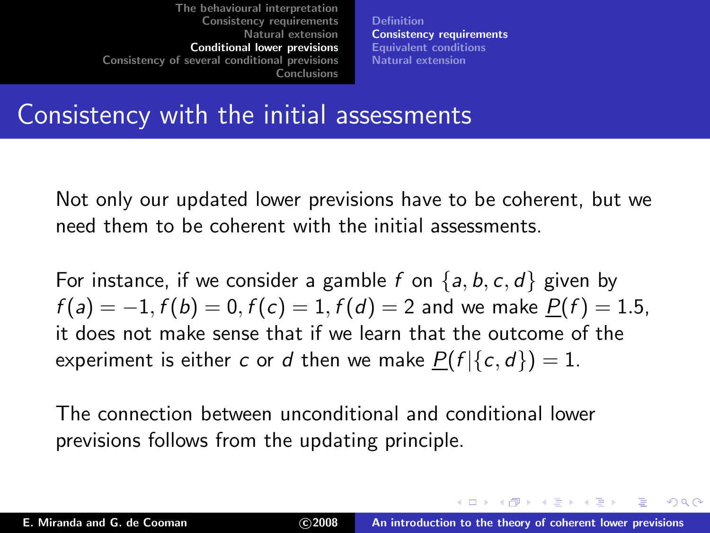[Definition](#page-53-0) [Consistency requirements](#page-59-0) [Equivalent conditions](#page-69-0) [Natural extension](#page-73-0)

#### Consistency with the initial assessments

Not only our updated lower previsions have to be coherent, but we need them to be coherent with the initial assessments.

For instance, if we consider a gamble f on  $\{a, b, c, d\}$  given by  $f(a) = -1, f(b) = 0, f(c) = 1, f(d) = 2$  and we make  $P(f) = 1.5$ , it does not make sense that if we learn that the outcome of the experiment is either c or d then we make  $P(f | {c, d}) = 1$ .

The connection between unconditional and conditional lower previsions follows from the updating principle.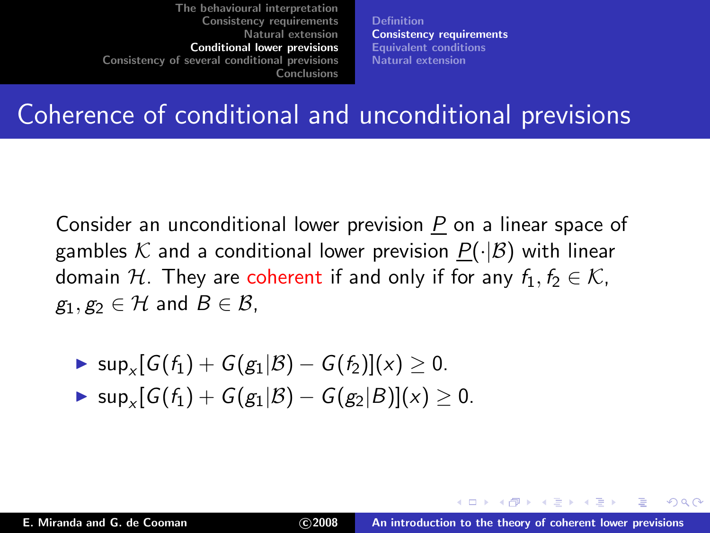[Definition](#page-53-0) [Consistency requirements](#page-59-0) [Equivalent conditions](#page-69-0) [Natural extension](#page-73-0)

### Coherence of conditional and unconditional previsions

Consider an unconditional lower prevision P on a linear space of gambles K and a conditional lower prevision  $P(\cdot|\mathcal{B})$  with linear domain H. They are coherent if and only if for any  $f_1, f_2 \in \mathcal{K}$ ,  $g_1, g_2 \in \mathcal{H}$  and  $B \in \mathcal{B}$ ,

- ► sup<sub>x</sub>[ $G(f_1) + G(g_1 | B) G(f_2)$ ](x)  $\geq 0$ .
- ► sup<sub>x</sub> $[G(f_1) + G(g_1 | B) G(g_2 | B)](x) \ge 0.$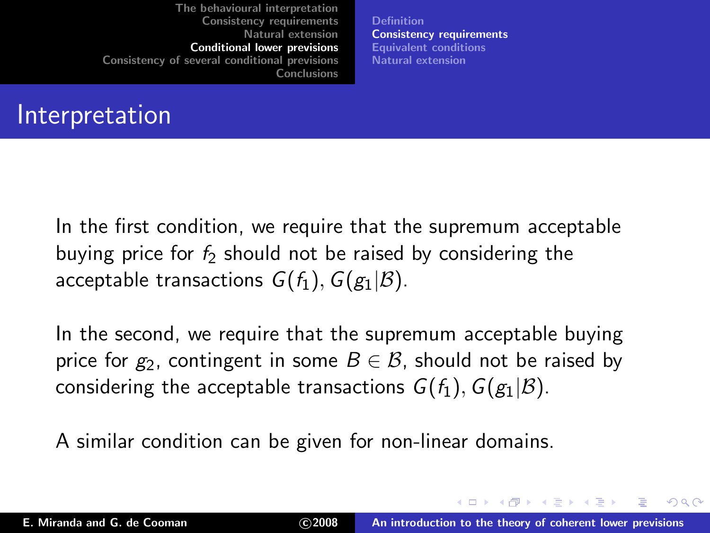[Definition](#page-53-0) [Consistency requirements](#page-59-0) [Equivalent conditions](#page-69-0) [Natural extension](#page-73-0)

### Interpretation

In the first condition, we require that the supremum acceptable buying price for  $f_2$  should not be raised by considering the acceptable transactions  $G(f_1)$ ,  $G(g_1|\mathcal{B})$ .

In the second, we require that the supremum acceptable buying price for  $g_2$ , contingent in some  $B \in \mathcal{B}$ , should not be raised by considering the acceptable transactions  $G(f_1)$ ,  $G(g_1|\mathcal{B})$ .

A similar condition can be given for non-linear domains.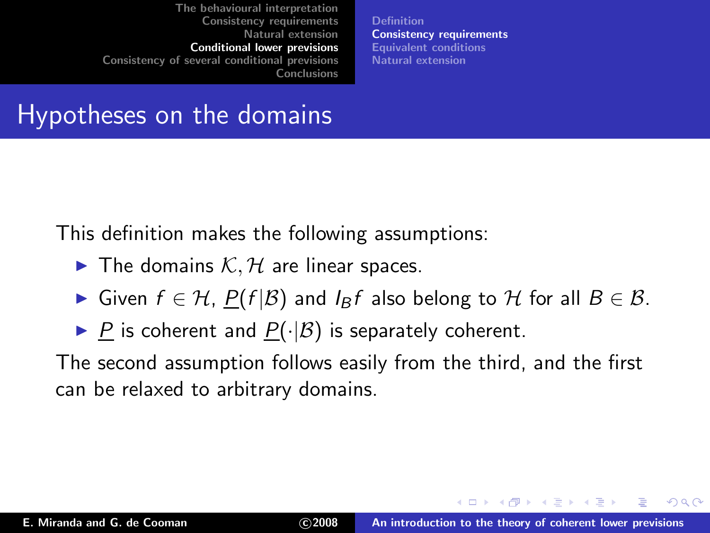[Definition](#page-53-0) [Consistency requirements](#page-59-0) [Equivalent conditions](#page-69-0) [Natural extension](#page-73-0)

## Hypotheses on the domains

This definition makes the following assumptions:

- $\blacktriangleright$  The domains  $K, H$  are linear spaces.
- ► Given  $f \in H$ ,  $P(f|\mathcal{B})$  and  $I_{\mathcal{B}}f$  also belong to H for all  $B \in \mathcal{B}$ .
- ▶ P is coherent and  $P(·|B)$  is separately coherent.

The second assumption follows easily from the third, and the first can be relaxed to arbitrary domains.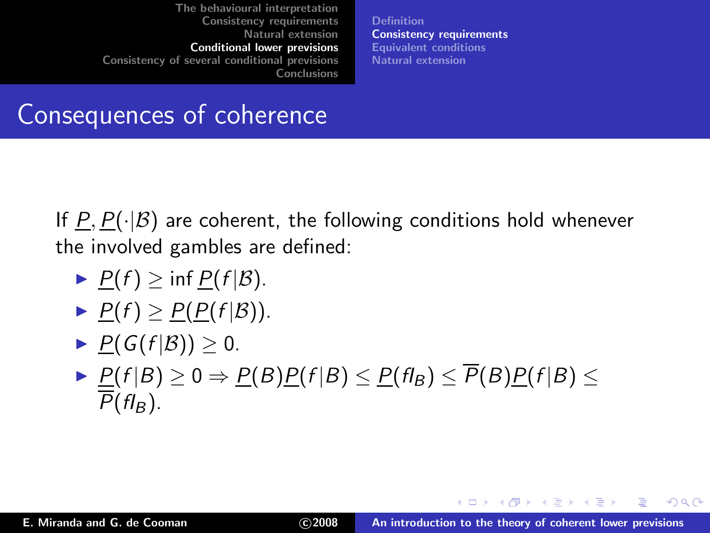[Definition](#page-53-0) [Consistency requirements](#page-59-0) [Equivalent conditions](#page-69-0) [Natural extension](#page-73-0)

## Consequences of coherence

If  $P, P(\cdot|\mathcal{B})$  are coherent, the following conditions hold whenever the involved gambles are defined:

- $\blacktriangleright$   $P(f) \geq \inf P(f|\mathcal{B}).$
- $\blacktriangleright$   $\underline{P}(f) \geq \underline{P}(P(f|\mathcal{B})).$
- $\blacktriangleright$  P(G(f|B))  $> 0$ .
- $\blacktriangleright$   $\underline{P}(f | B) \geq 0 \Rightarrow \underline{P}(B) \underline{P}(f | B) \leq \underline{P}(f|_B) \leq P(B) \underline{P}(f | B) \leq$  $P(f|_B)$ .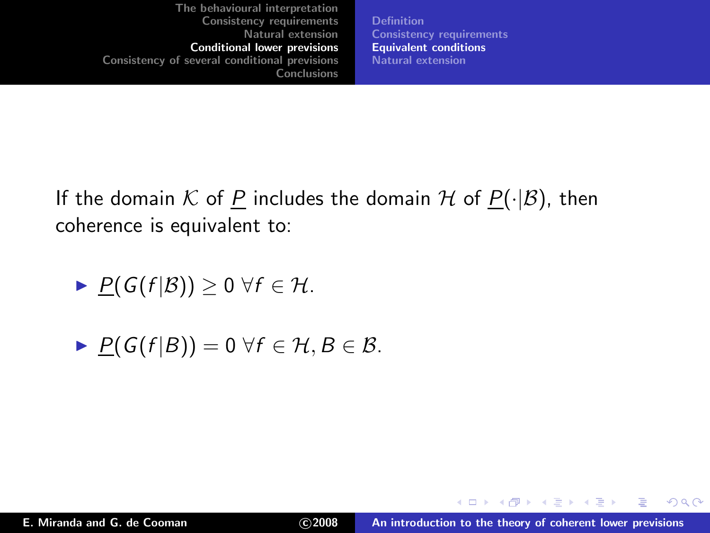[Definition](#page-53-0) [Consistency requirements](#page-59-0) [Equivalent conditions](#page-69-0) [Natural extension](#page-73-0)

If the domain K of P includes the domain H of  $P(\cdot|\mathcal{B})$ , then coherence is equivalent to:

$$
\blacktriangleright \underline{P}(G(f|\mathcal{B})) \geq 0 \ \forall f \in \mathcal{H}.
$$

$$
\blacktriangleright \underline{P(G(f|B))} = 0 \ \forall f \in \mathcal{H}, B \in \mathcal{B}.
$$

<span id="page-69-0"></span> $2Q$ 

в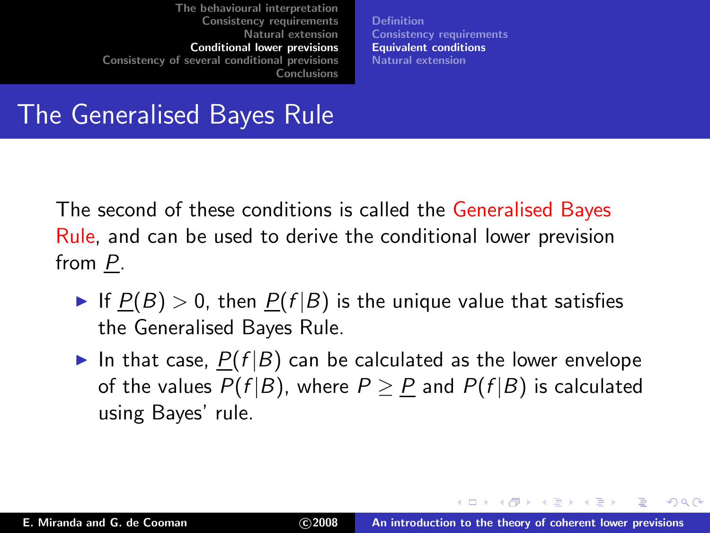[Definition](#page-53-0) [Consistency requirements](#page-59-0) [Equivalent conditions](#page-69-0) [Natural extension](#page-73-0)

The Generalised Bayes Rule

The second of these conditions is called the Generalised Bayes Rule, and can be used to derive the conditional lower prevision from P.

- If  $P(B) > 0$ , then  $P(f|B)$  is the unique value that satisfies the Generalised Bayes Rule.
- In that case,  $P(f|B)$  can be calculated as the lower envelope of the values  $P(f|B)$ , where  $P > P$  and  $P(f|B)$  is calculated using Bayes' rule.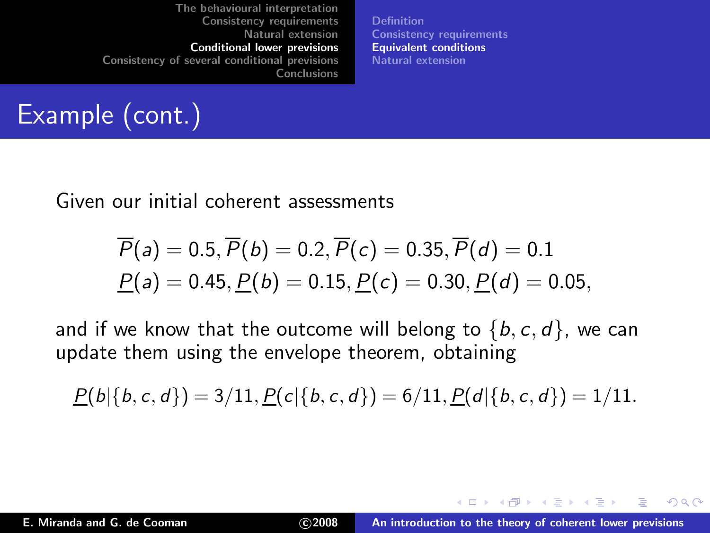[Definition](#page-53-0) [Consistency requirements](#page-59-0) [Equivalent conditions](#page-69-0) [Natural extension](#page-73-0)

# Example (cont.)

Given our initial coherent assessments

$$
\overline{P}(a) = 0.5, \overline{P}(b) = 0.2, \overline{P}(c) = 0.35, \overline{P}(d) = 0.1
$$
  

$$
\underline{P}(a) = 0.45, \underline{P}(b) = 0.15, \underline{P}(c) = 0.30, \underline{P}(d) = 0.05,
$$

and if we know that the outcome will belong to  $\{b, c, d\}$ , we can update them using the envelope theorem, obtaining

$$
\underline{P}(b|\{b,c,d\})=3/11,\underline{P}(c|\{b,c,d\})=6/11,\underline{P}(d|\{b,c,d\})=1/11.
$$

 $2Q$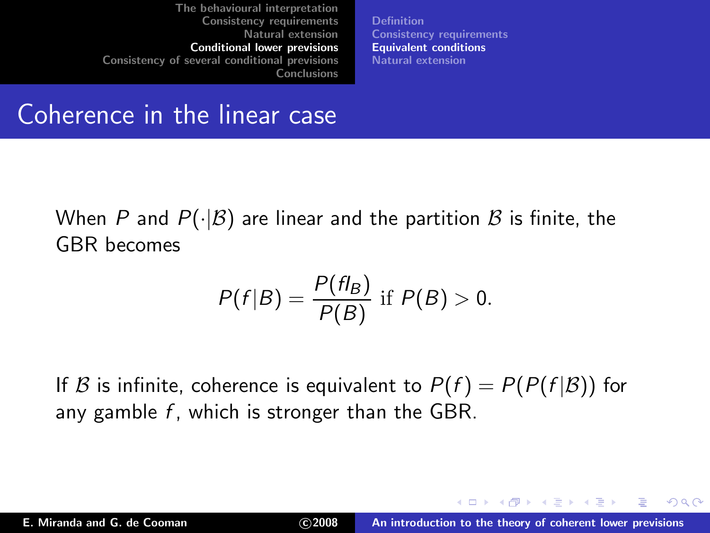[Definition](#page-53-0) [Consistency requirements](#page-59-0) [Equivalent conditions](#page-69-0) [Natural extension](#page-73-0)

#### Coherence in the linear case

When P and  $P(\cdot|\mathcal{B})$  are linear and the partition  $\mathcal B$  is finite, the GBR becomes

$$
P(f|B) = \frac{P(f|B)}{P(B)}
$$
if  $P(B) > 0$ .

If B is infinite, coherence is equivalent to  $P(f) = P(P(f|\mathcal{B}))$  for any gamble  $f$ , which is stronger than the GBR.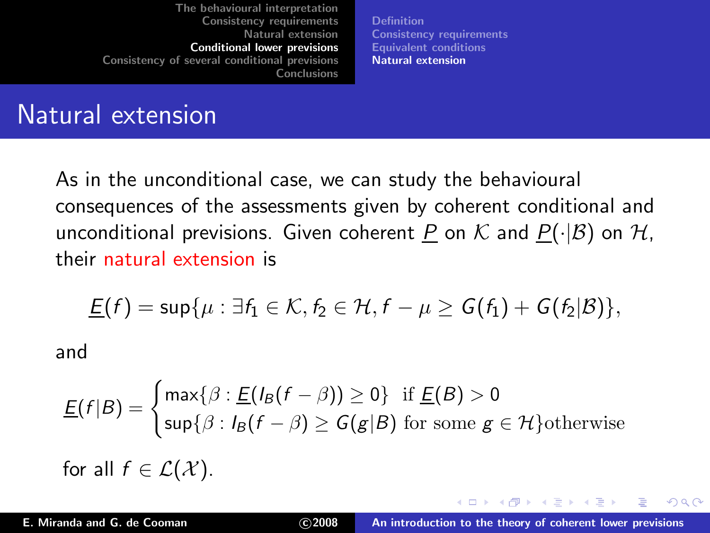<span id="page-73-0"></span>[Definition](#page-53-0) [Consistency requirements](#page-59-0) [Equivalent conditions](#page-69-0) [Natural extension](#page-73-0)

### Natural extension

As in the unconditional case, we can study the behavioural consequences of the assessments given by coherent conditional and unconditional previsions. Given coherent P on K and  $P(\cdot|\mathcal{B})$  on H, their natural extension is

$$
\underline{\mathsf{E}}(f) = \sup \{ \mu : \exists f_1 \in \mathcal{K}, f_2 \in \mathcal{H}, f - \mu \geq \mathsf{G}(f_1) + \mathsf{G}(f_2|\mathcal{B}) \},
$$

and

$$
\underline{E}(f|B) = \begin{cases} \max\{\beta : \underline{E}(\mathit{I}_B(f - \beta)) \ge 0\} & \text{if } \underline{E}(B) > 0 \\ \sup\{\beta : \mathit{I}_B(f - \beta) \ge G(g|B) & \text{for some } g \in \mathcal{H}\} \text{otherwise} \end{cases}
$$
for all  $f \in \mathcal{L}(\mathcal{X})$ .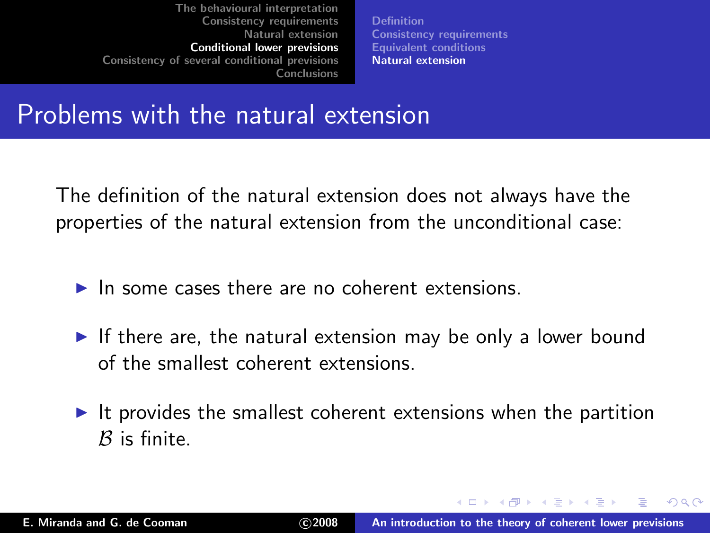[Definition](#page-53-0) [Consistency requirements](#page-59-0) [Equivalent conditions](#page-69-0) [Natural extension](#page-73-0)

#### Problems with the natural extension

The definition of the natural extension does not always have the properties of the natural extension from the unconditional case:

- $\blacktriangleright$  In some cases there are no coherent extensions.
- $\triangleright$  If there are, the natural extension may be only a lower bound of the smallest coherent extensions.
- $\triangleright$  It provides the smallest coherent extensions when the partition  $B$  is finite.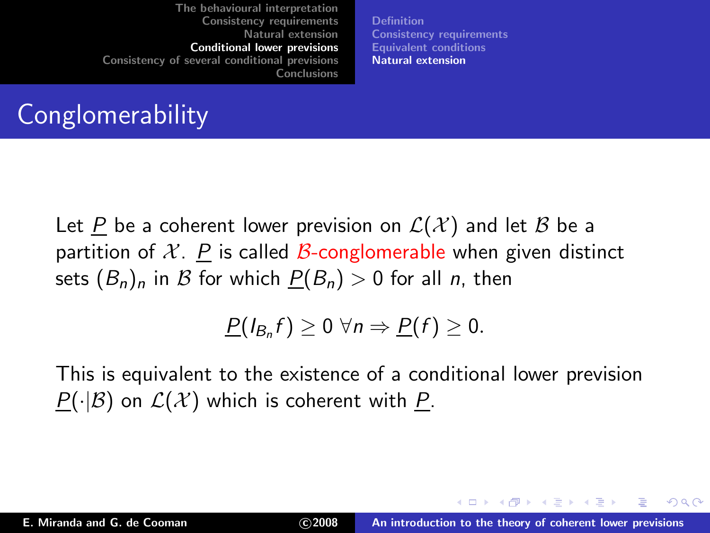[Definition](#page-53-0) [Consistency requirements](#page-59-0) [Equivalent conditions](#page-69-0) [Natural extension](#page-73-0)

# **Conglomerability**

Let P be a coherent lower prevision on  $\mathcal{L}(\mathcal{X})$  and let B be a partition of X. P is called B-conglomerable when given distinct sets  $(B_n)_n$  in B for which  $P(B_n) > 0$  for all n, then

$$
\underline{P}(I_{B_n}f)\geq 0 \,\forall n \Rightarrow \underline{P}(f)\geq 0.
$$

This is equivalent to the existence of a conditional lower prevision  $P(\cdot|\mathcal{B})$  on  $\mathcal{L}(\mathcal{X})$  which is coherent with P.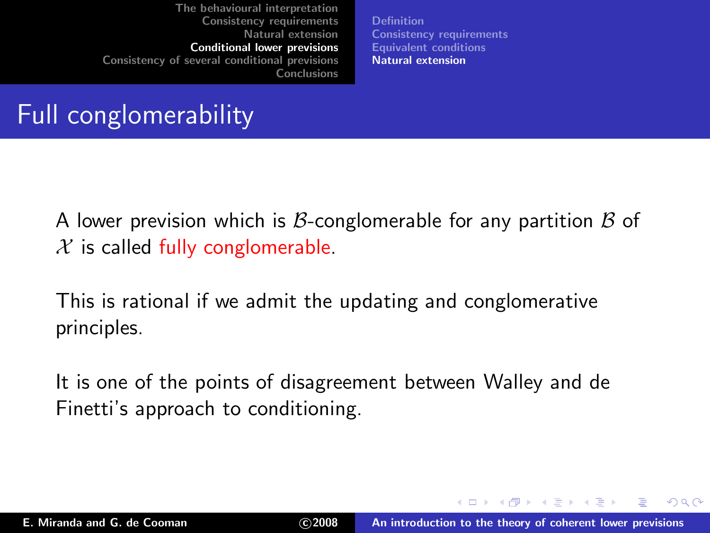[Definition](#page-53-0) [Consistency requirements](#page-59-0) [Equivalent conditions](#page-69-0) [Natural extension](#page-73-0)

# Full conglomerability

A lower prevision which is B-conglomerable for any partition  $\beta$  of  $\mathcal X$  is called fully conglomerable.

This is rational if we admit the updating and conglomerative principles.

It is one of the points of disagreement between Walley and de Finetti's approach to conditioning.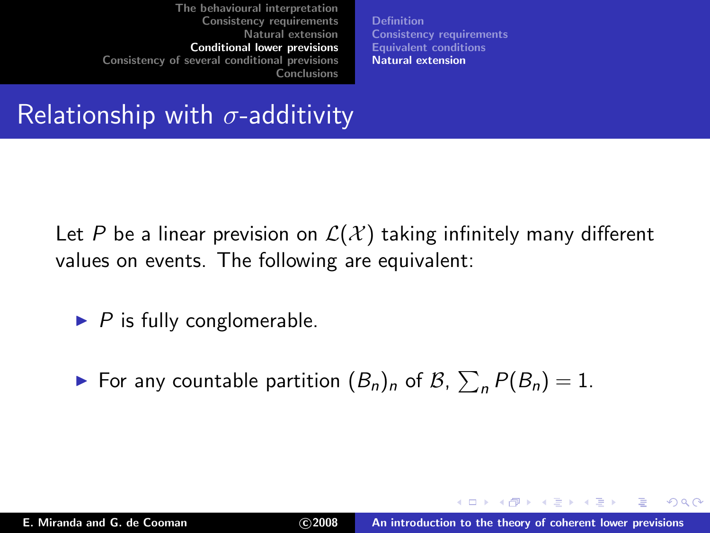[Definition](#page-53-0) [Consistency requirements](#page-59-0) [Equivalent conditions](#page-69-0) [Natural extension](#page-73-0)

Relationship with  $\sigma$ -additivity

Let P be a linear prevision on  $\mathcal{L}(\mathcal{X})$  taking infinitely many different values on events. The following are equivalent:

- $\blacktriangleright$  P is fully conglomerable.
- $\blacktriangleright$  For any countable partition  $(B_n)_n$  of  $B_n$ ,  $\sum_n P(B_n) = 1$ .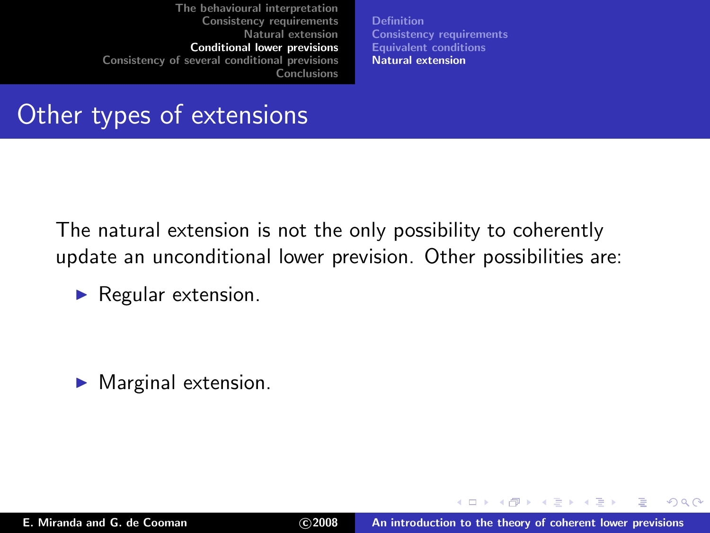[Definition](#page-53-0) [Consistency requirements](#page-59-0) [Equivalent conditions](#page-69-0) [Natural extension](#page-73-0)

### Other types of extensions

The natural extension is not the only possibility to coherently update an unconditional lower prevision. Other possibilities are:

 $\blacktriangleright$  Regular extension.

 $\blacktriangleright$  Marginal extension.

 $2Q$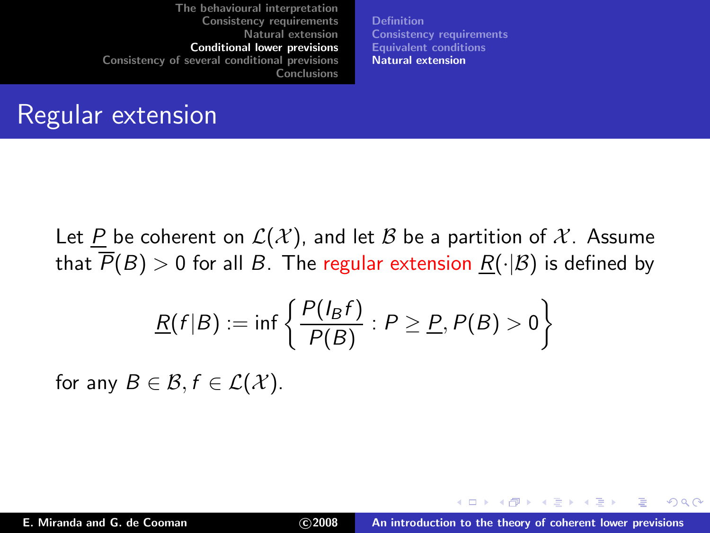[Definition](#page-53-0) [Consistency requirements](#page-59-0) [Equivalent conditions](#page-69-0) [Natural extension](#page-73-0)

#### Regular extension

Let P be coherent on  $\mathcal{L}(\mathcal{X})$ , and let B be a partition of X. Assume that  $\overline{P}(B) > 0$  for all B. The regular extension  $R(\cdot | B)$  is defined by

$$
\underline{R}(f|B) := \inf \left\{ \frac{P(I_B f)}{P(B)} : P \geq \underline{P}, P(B) > 0 \right\}
$$

for any  $B \in \mathcal{B}, f \in \mathcal{L}(\mathcal{X})$ .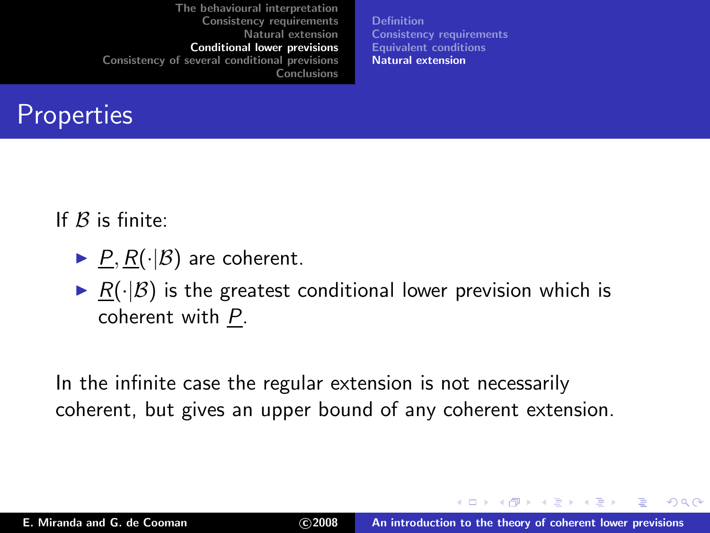[Definition](#page-53-0) [Consistency requirements](#page-59-0) [Equivalent conditions](#page-69-0) [Natural extension](#page-73-0)

### **Properties**

If  $B$  is finite:

- $\blacktriangleright$   $\underline{P}, \underline{R}(\cdot | \mathcal{B})$  are coherent.
- $\triangleright$  R( $\cdot$ |B) is the greatest conditional lower prevision which is coherent with P.

In the infinite case the regular extension is not necessarily coherent, but gives an upper bound of any coherent extension.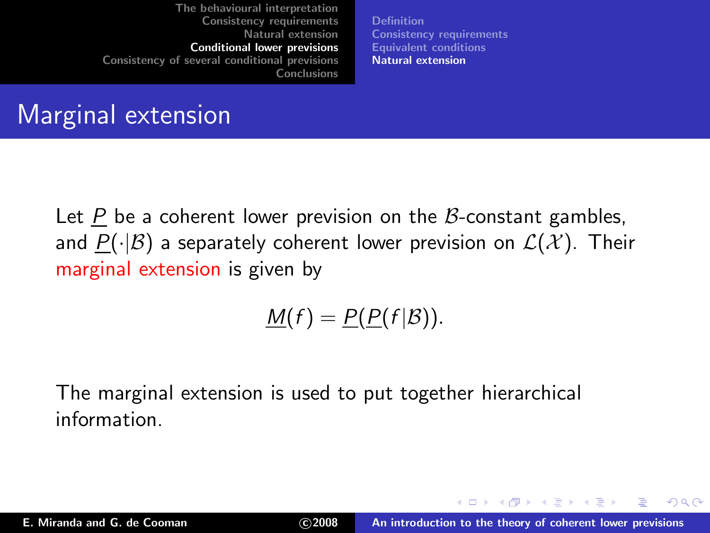[Definition](#page-53-0) [Consistency requirements](#page-59-0) [Equivalent conditions](#page-69-0) [Natural extension](#page-73-0)

### Marginal extension

Let P be a coherent lower prevision on the B-constant gambles, and  $P(\cdot|\mathcal{B})$  a separately coherent lower prevision on  $\mathcal{L}(\mathcal{X})$ . Their marginal extension is given by

$$
\underline{M}(f)=\underline{P}(\underline{P}(f|\mathcal{B})).
$$

The marginal extension is used to put together hierarchical information.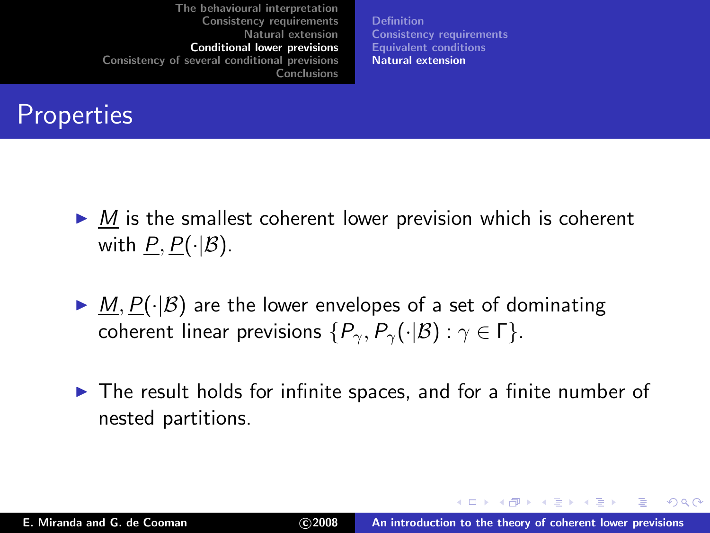[Definition](#page-53-0) [Consistency requirements](#page-59-0) [Equivalent conditions](#page-69-0) [Natural extension](#page-73-0)

### **Properties**

- $\triangleright$  M is the smallest coherent lower prevision which is coherent with  $P, P(\cdot|\mathcal{B})$ .
- $\blacktriangleright$  M,  $P(\cdot|\mathcal{B})$  are the lower envelopes of a set of dominating coherent linear previsions  $\{P_{\gamma}, P_{\gamma}(\cdot|\mathcal{B}) : \gamma \in \Gamma\}.$
- ▶ The result holds for infinite spaces, and for a finite number of nested partitions.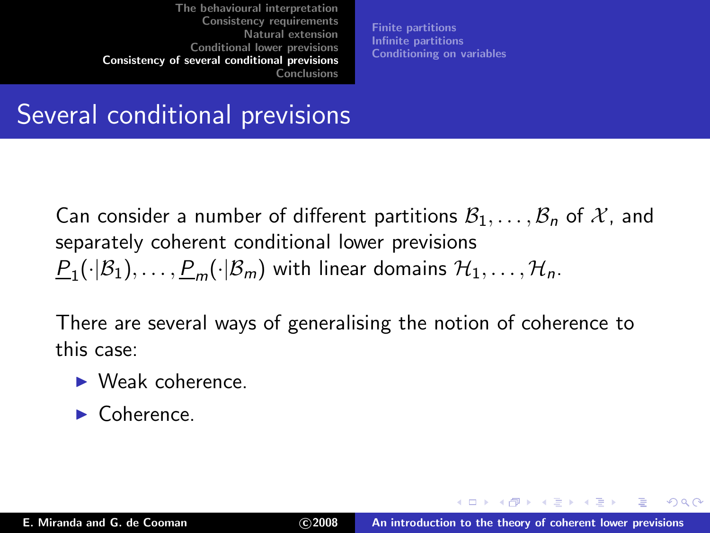<span id="page-83-0"></span>[Finite partitions](#page-90-0) [Infinite partitions](#page-94-0) [Conditioning on variables](#page-98-0)

### Several conditional previsions

Can consider a number of different partitions  $B_1, \ldots, B_n$  of X, and separately coherent conditional lower previsions  $\underline{P}_1(\cdot|\mathcal{B}_1),\ldots,\underline{P}_m(\cdot|\mathcal{B}_m)$  with linear domains  $\mathcal{H}_1,\ldots,\mathcal{H}_n.$ 

There are several ways of generalising the notion of coherence to this case:

- $\blacktriangleright$  Weak coherence.
- ▶ Coherence.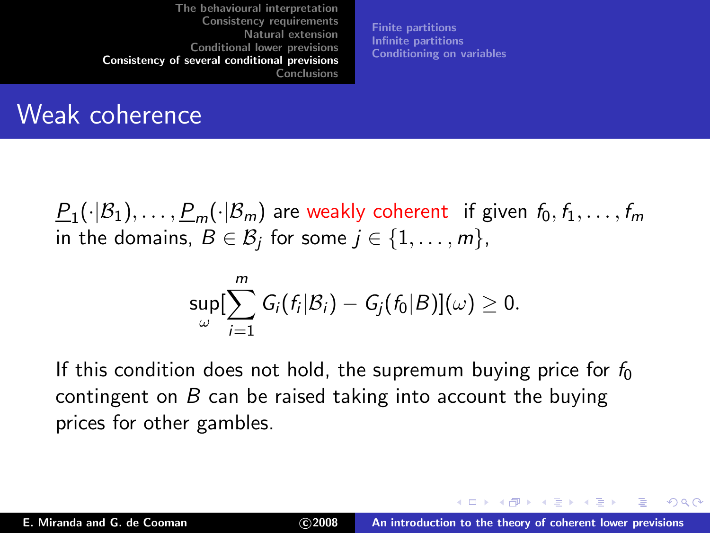[Finite partitions](#page-90-0) [Infinite partitions](#page-94-0) [Conditioning on variables](#page-98-0)

#### Weak coherence

 $\frac{P_1(\cdot|\mathcal{B}_1),\ldots,\underline{P}_m(\cdot|\mathcal{B}_m)}{P_1(\cdot|\mathcal{B}_1),\ldots,P_m}$  are weakly coherent  $\;$  if given  $\;$  f $_0,$   $\;$  f $_1,\ldots,\;$  f $_m$ in the domains,  $B\in\mathcal{B}_j$  for some  $j\in\{1,\ldots,m\},$ 

$$
\sup_{\omega}[\sum_{i=1}^m G_i(f_i|\mathcal{B}_i) - G_j(f_0|\mathcal{B})](\omega) \geq 0.
$$

If this condition does not hold, the supremum buying price for  $f_0$ contingent on  $B$  can be raised taking into account the buying prices for other gambles.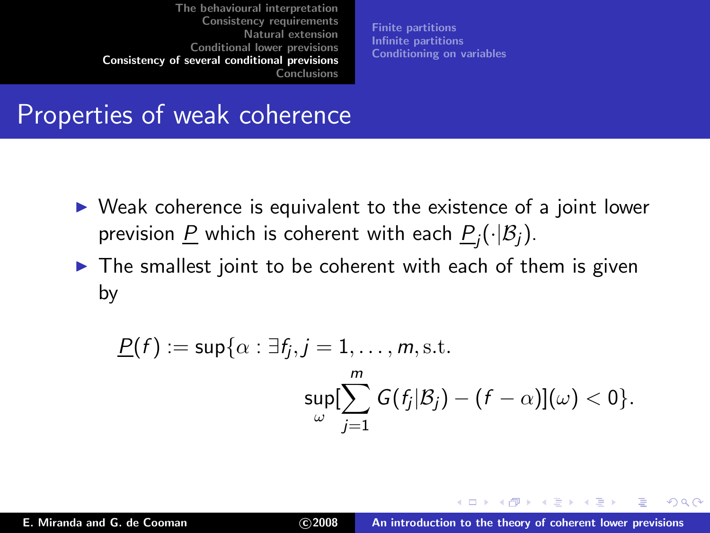[Finite partitions](#page-90-0) [Infinite partitions](#page-94-0) [Conditioning on variables](#page-98-0)

#### Properties of weak coherence

- ▶ Weak coherence is equivalent to the existence of a joint lower prevision <u>P</u> which is coherent with each  $\underline{P}_j(\cdot|\mathcal{B}_j).$
- $\triangleright$  The smallest joint to be coherent with each of them is given by

$$
\underline{P}(f) := \sup \{ \alpha : \exists f_j, j = 1, \dots, m, \text{s.t.} \newline \sup_{\omega} [\sum_{j=1}^m G(f_j|\mathcal{B}_j) - (f - \alpha)](\omega) < 0 \}.
$$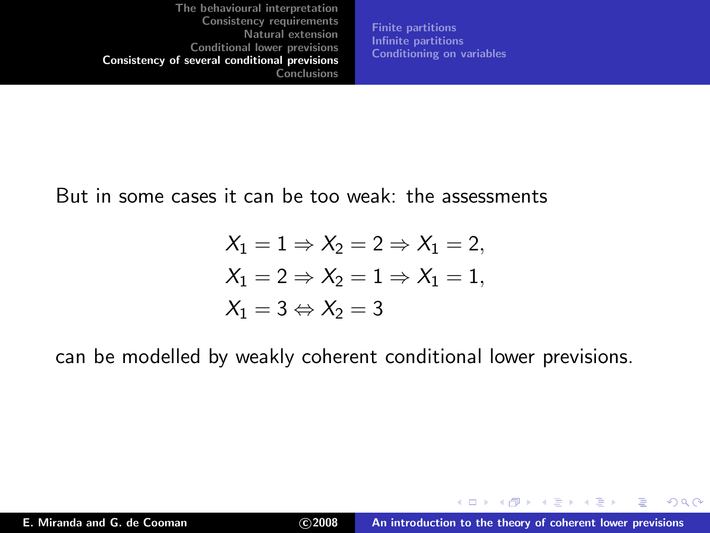[Finite partitions](#page-90-0) [Infinite partitions](#page-94-0) [Conditioning on variables](#page-98-0)

But in some cases it can be too weak: the assessments

$$
X_1 = 1 \Rightarrow X_2 = 2 \Rightarrow X_1 = 2,
$$
  
\n
$$
X_1 = 2 \Rightarrow X_2 = 1 \Rightarrow X_1 = 1,
$$
  
\n
$$
X_1 = 3 \Leftrightarrow X_2 = 3
$$

can be modelled by weakly coherent conditional lower previsions.

 $2Q$ 

в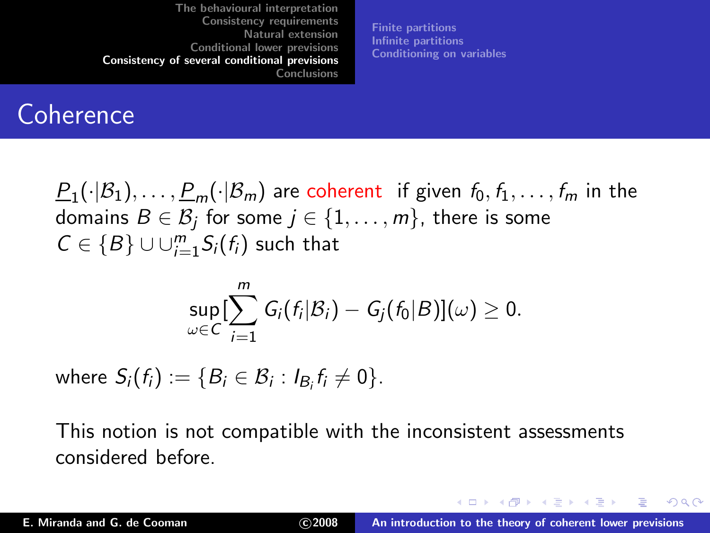[Finite partitions](#page-90-0) [Infinite partitions](#page-94-0) [Conditioning on variables](#page-98-0)

#### **Coherence**

 $\frac{P_1(\cdot|\mathcal{B}_1),\ldots,\underline{P}_m(\cdot|\mathcal{B}_m)}{P_1(\cdot|\mathcal{B}_1),\ldots,P_m}$  in the domains  $B\in\mathcal{B}_j$  for some  $j\in\{1,\ldots,m\}$ , there is some  $C \in \{B\} \cup \cup_{i=1}^m S_i(f_i)$  such that

$$
\sup_{\omega \in C} [\sum_{i=1}^m G_i(f_i|\mathcal{B}_i) - G_j(f_0|\mathcal{B})](\omega) \geq 0.
$$

where  $S_i(f_i) := \{B_i \in \mathcal{B}_i : I_{B_i}f_i \neq 0\}$ .

This notion is not compatible with the inconsistent assessments considered before.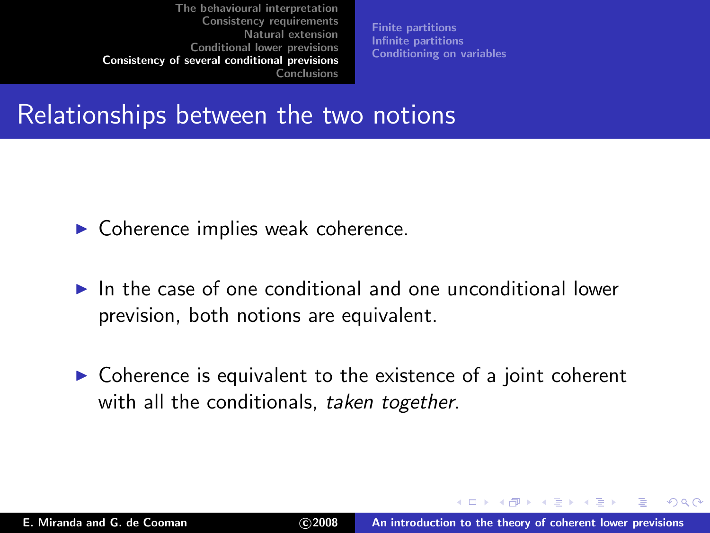[Finite partitions](#page-90-0) [Infinite partitions](#page-94-0) [Conditioning on variables](#page-98-0)

#### Relationships between the two notions

- $\blacktriangleright$  Coherence implies weak coherence.
- $\blacktriangleright$  In the case of one conditional and one unconditional lower prevision, both notions are equivalent.
- $\triangleright$  Coherence is equivalent to the existence of a joint coherent with all the conditionals, taken together.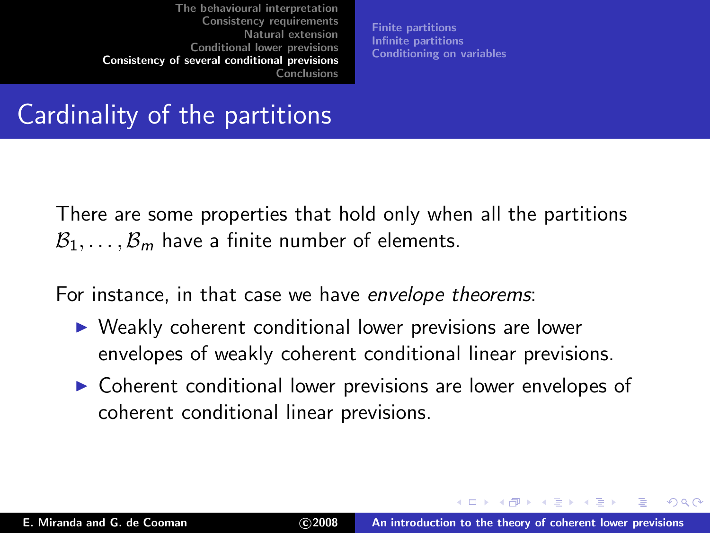[Finite partitions](#page-90-0) [Infinite partitions](#page-94-0) [Conditioning on variables](#page-98-0)

### Cardinality of the partitions

There are some properties that hold only when all the partitions  $B_1, \ldots, B_m$  have a finite number of elements.

For instance, in that case we have envelope theorems:

- ▶ Weakly coherent conditional lower previsions are lower envelopes of weakly coherent conditional linear previsions.
- ▶ Coherent conditional lower previsions are lower envelopes of coherent conditional linear previsions.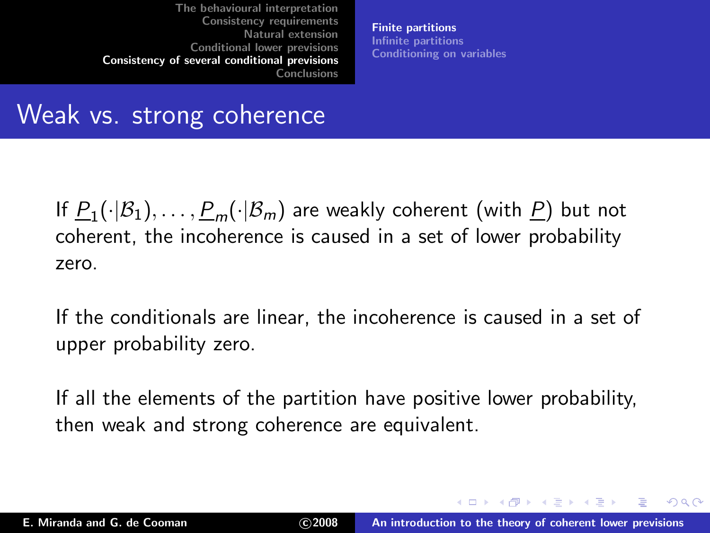<span id="page-90-0"></span>[Finite partitions](#page-90-0) [Infinite partitions](#page-94-0) [Conditioning on variables](#page-98-0)

#### Weak vs. strong coherence

If  $\underline{P}_1(\cdot|\mathcal{B}_1),\ldots,\underline{P}_m(\cdot|\mathcal{B}_m)$  are weakly coherent (with  $\underline{P})$  but not coherent, the incoherence is caused in a set of lower probability zero.

If the conditionals are linear, the incoherence is caused in a set of upper probability zero.

If all the elements of the partition have positive lower probability, then weak and strong coherence are equivalent.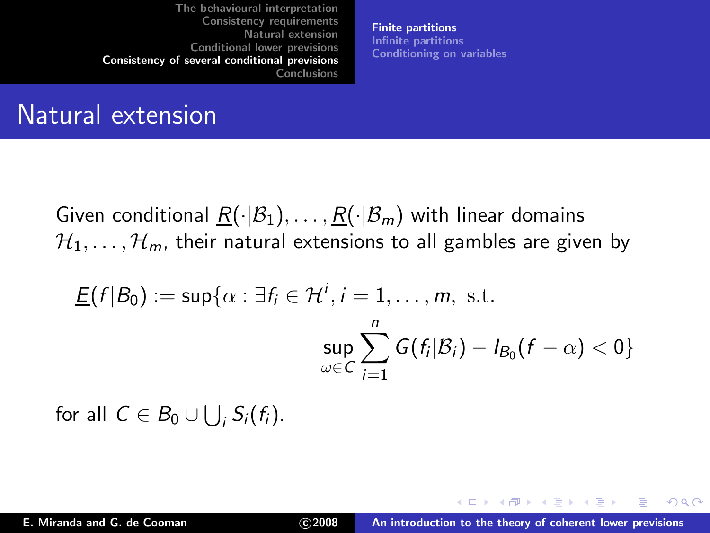[Finite partitions](#page-90-0) [Infinite partitions](#page-94-0) [Conditioning on variables](#page-98-0)

#### Natural extension

Given conditional  $R(\cdot|\mathcal{B}_1), \ldots, R(\cdot|\mathcal{B}_m)$  with linear domains  $\mathcal{H}_1, \ldots, \mathcal{H}_m$ , their natural extensions to all gambles are given by

$$
\underline{E}(f|B_0) := \sup \{ \alpha : \exists f_i \in \mathcal{H}^i, i = 1, \dots, m, \text{ s.t. } \}
$$

$$
\sup_{\omega \in C} \sum_{i=1}^n G(f_i|B_i) - I_{B_0}(f - \alpha) < 0 \}
$$

for all  $C \in B_0 \cup \bigcup_i S_i(f_i)$ .

 $2Q$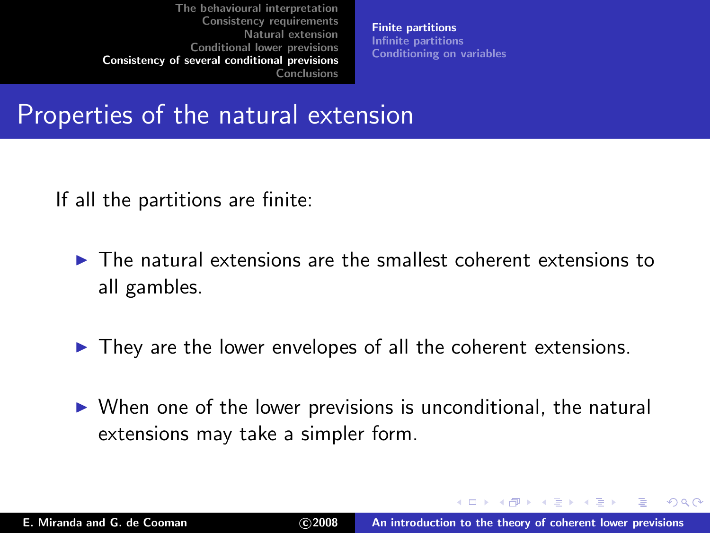[Finite partitions](#page-90-0) [Infinite partitions](#page-94-0) [Conditioning on variables](#page-98-0)

#### Properties of the natural extension

If all the partitions are finite:

- $\triangleright$  The natural extensions are the smallest coherent extensions to all gambles.
- $\blacktriangleright$  They are the lower envelopes of all the coherent extensions.
- $\triangleright$  When one of the lower previsions is unconditional, the natural extensions may take a simpler form.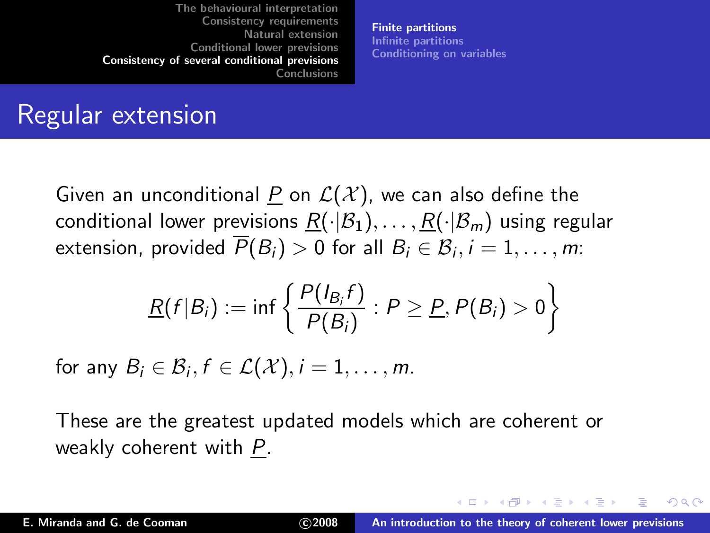[Finite partitions](#page-90-0) [Infinite partitions](#page-94-0) [Conditioning on variables](#page-98-0)

#### Regular extension

Given an unconditional P on  $\mathcal{L}(\mathcal{X})$ , we can also define the conditional lower previsions  $R(\cdot|\mathcal{B}_1), \ldots, R(\cdot|\mathcal{B}_m)$  using regular extension, provided  $P(B_i) > 0$  for all  $B_i \in \mathcal{B}_i, i = 1, \ldots, m$ :

$$
\underline{R}(f|B_i):=\inf\left\{\frac{P(I_{B_i}f)}{P(B_i)}:P\geq \underline{P},P(B_i)>0\right\}
$$

for any  $B_i \in \mathcal{B}_i, f \in \mathcal{L}(\mathcal{X}), i = 1, \ldots, m$ .

These are the greatest updated models which are coherent or weakly coherent with P.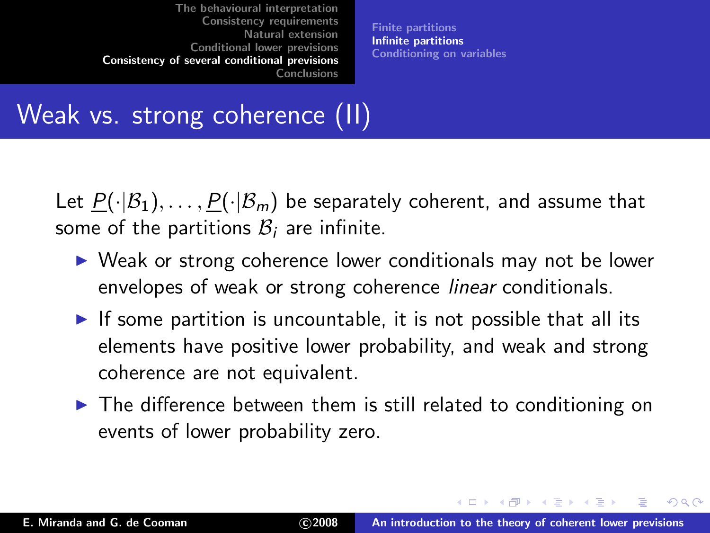<span id="page-94-0"></span>[Finite partitions](#page-90-0) [Infinite partitions](#page-94-0) [Conditioning on variables](#page-98-0)

# Weak vs. strong coherence (II)

Let  $P(\cdot|\mathcal{B}_1), \ldots, P(\cdot|\mathcal{B}_m)$  be separately coherent, and assume that some of the partitions  $B_i$  are infinite.

- ▶ Weak or strong coherence lower conditionals may not be lower envelopes of weak or strong coherence linear conditionals.
- $\triangleright$  If some partition is uncountable, it is not possible that all its elements have positive lower probability, and weak and strong coherence are not equivalent.
- ▶ The difference between them is still related to conditioning on events of lower probability zero.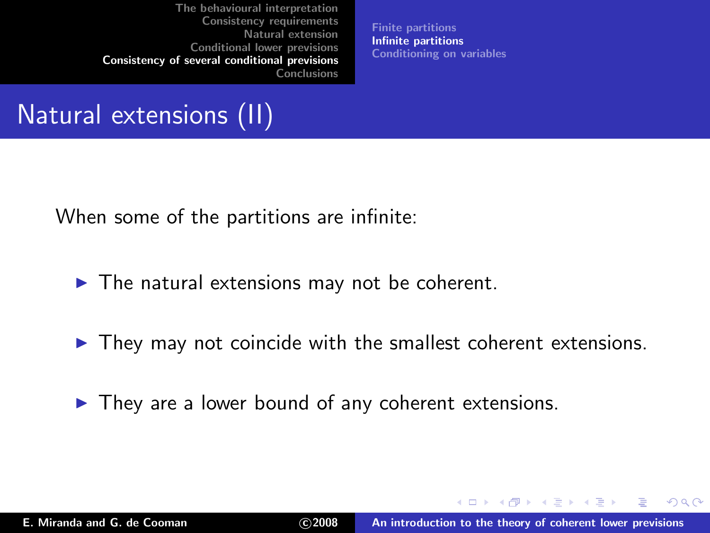[Finite partitions](#page-90-0) [Infinite partitions](#page-94-0) [Conditioning on variables](#page-98-0)

### Natural extensions (II)

When some of the partitions are infinite:

- $\blacktriangleright$  The natural extensions may not be coherent.
- $\blacktriangleright$  They may not coincide with the smallest coherent extensions.
- $\blacktriangleright$  They are a lower bound of any coherent extensions.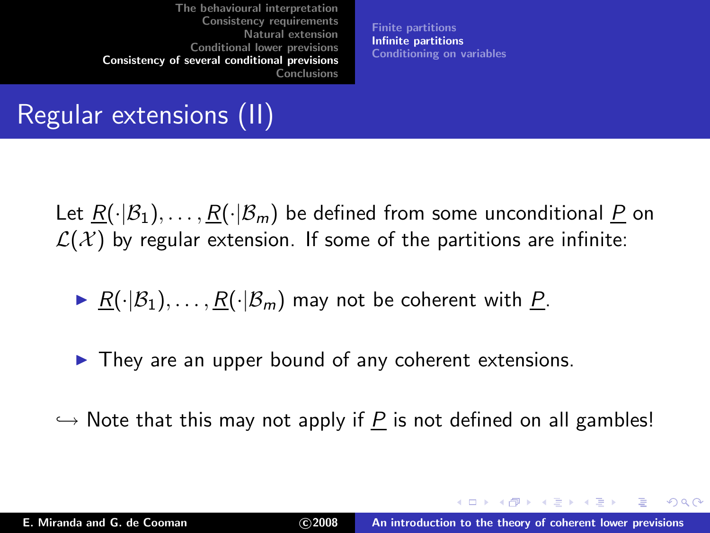[Finite partitions](#page-90-0) [Infinite partitions](#page-94-0) [Conditioning on variables](#page-98-0)

### Regular extensions (II)

Let  $R(\cdot|\mathcal{B}_1), \ldots, R(\cdot|\mathcal{B}_m)$  be defined from some unconditional P on  $\mathcal{L}(\mathcal{X})$  by regular extension. If some of the partitions are infinite:

- ▶  $R(\cdot|\mathcal{B}_1), \ldots, R(\cdot|\mathcal{B}_m)$  may not be coherent with P.
- $\blacktriangleright$  They are an upper bound of any coherent extensions.
- $\hookrightarrow$  Note that this may not apply if P is not defined on all gambles!

 $(0.12.5 \times 10^{-11})$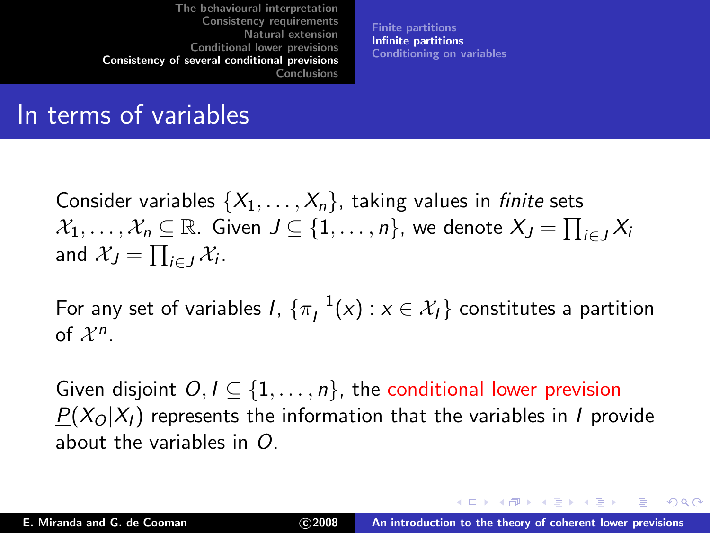[Finite partitions](#page-90-0) [Infinite partitions](#page-94-0) [Conditioning on variables](#page-98-0)

### In terms of variables

Consider variables  $\{X_1, \ldots, X_n\}$ , taking values in *finite* sets  $\mathcal{X}_1,\ldots,\mathcal{X}_n\subseteq\mathbb{R}.$  Given  $J\subseteq\{1,\ldots,n\},$  we denote  $X_J=\prod_{i\in J}X_i$ and  $\mathcal{X}_J = \prod_{i \in J} \mathcal{X}_i$ .

For any set of variables I,  $\{\pi^{-1}_l(x): x \in \mathcal{X}_l\}$  constitutes a partition of  $\mathcal{X}^n$ .

Given disjoint  $O, I \subseteq \{1, \ldots, n\}$ , the conditional lower prevision  $P(X_O|X_I)$  represents the information that the variables in *I* provide about the variables in O.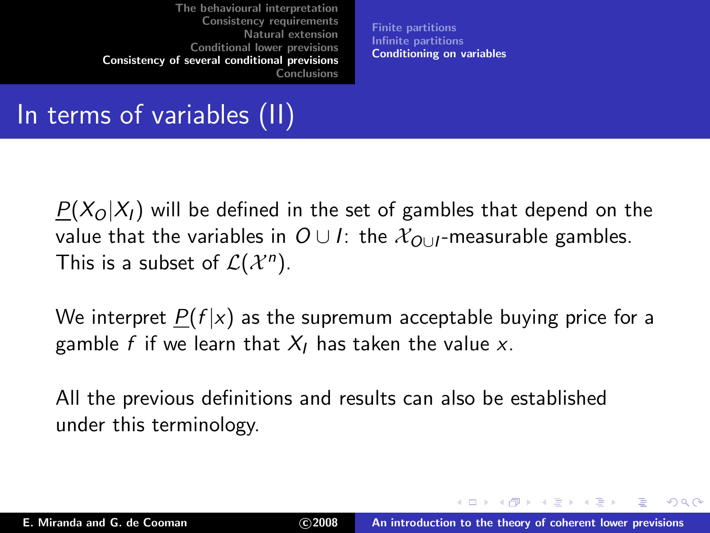<span id="page-98-0"></span>[Finite partitions](#page-90-0) [Infinite partitions](#page-94-0) [Conditioning on variables](#page-98-0)

## In terms of variables (II)

 $P(X_O|X_I)$  will be defined in the set of gambles that depend on the value that the variables in  $O \cup I$ : the  $X_{O \cup I}$ -measurable gambles. This is a subset of  $\mathcal{L}(X^n)$ .

We interpret  $P(f | x)$  as the supremum acceptable buying price for a gamble f if we learn that  $X_I$  has taken the value x.

All the previous definitions and results can also be established under this terminology.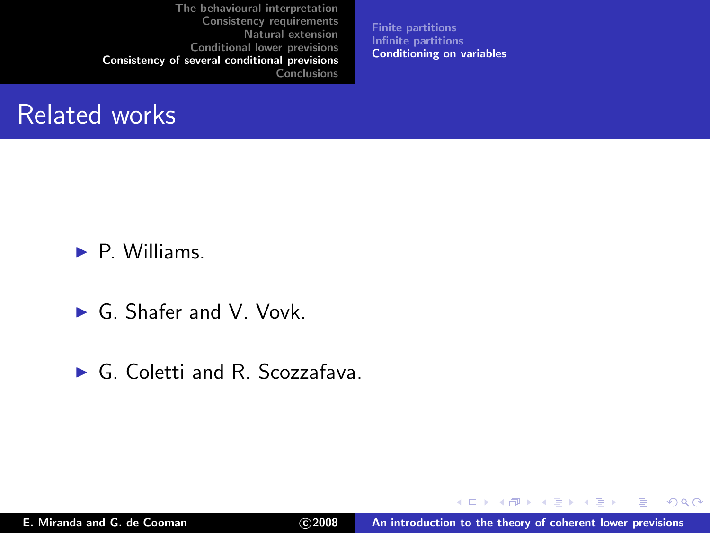[Finite partitions](#page-90-0) [Infinite partitions](#page-94-0) [Conditioning on variables](#page-98-0)

#### Related works

 $\blacktriangleright$  P. Williams.

- ► G. Shafer and V. Vovk.
- ► G. Coletti and R. Scozzafava.

 $298$ 

в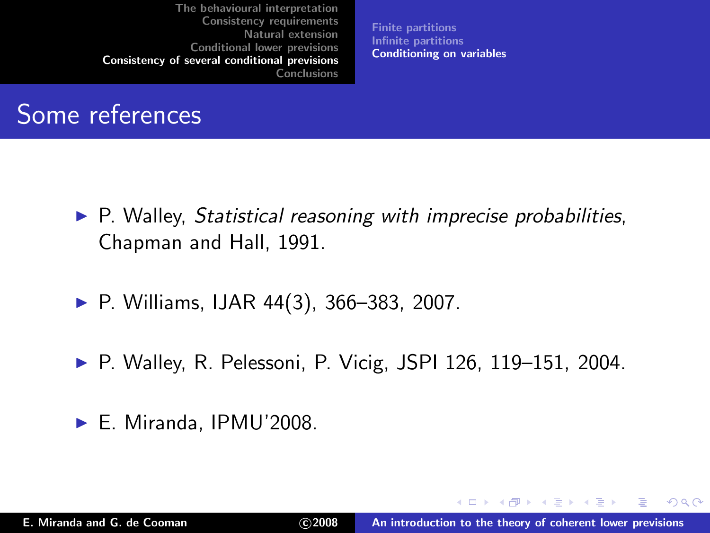[Finite partitions](#page-90-0) [Infinite partitions](#page-94-0) [Conditioning on variables](#page-98-0)

### Some references

- $\triangleright$  P. Walley, Statistical reasoning with imprecise probabilities, Chapman and Hall, 1991.
- $\blacktriangleright$  P. Williams, IJAR 44(3), 366–383, 2007.
- ▶ P. Walley, R. Pelessoni, P. Vicig, JSPI 126, 119–151, 2004.
- ► E. Miranda, IPMU'2008.

 $2Q$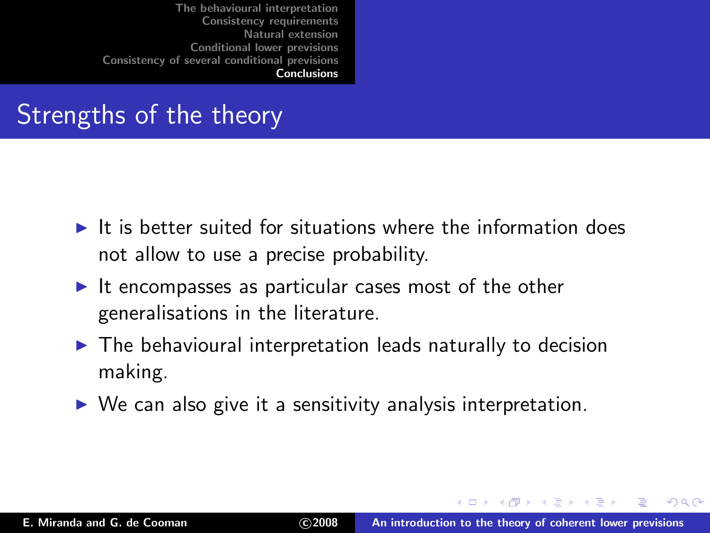### Strengths of the theory

- $\blacktriangleright$  It is better suited for situations where the information does not allow to use a precise probability.
- $\blacktriangleright$  It encompasses as particular cases most of the other generalisations in the literature.
- $\blacktriangleright$  The behavioural interpretation leads naturally to decision making.
- <span id="page-101-0"></span> $\triangleright$  We can also give it a sensitivity analysis interpretation.